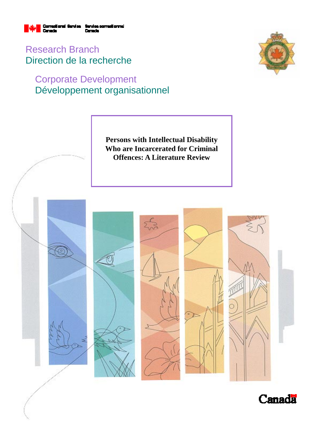

Research Branch Direction de la recherche

# Corporate Development Développement organisationnel



**Persons with Intellectual Disability Who are Incarcerated for Criminal Offences: A Literature Review** 



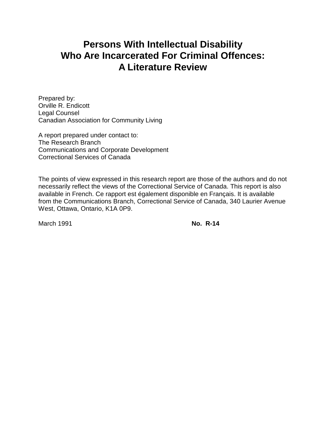# **Persons With Intellectual Disability Who Are Incarcerated For Criminal Offences: A Literature Review**

Prepared by: Orville R. Endicott Legal Counsel Canadian Association for Community Living

A report prepared under contact to: The Research Branch Communications and Corporate Development Correctional Services of Canada

The points of view expressed in this research report are those of the authors and do not necessarily reflect the views of the Correctional Service of Canada. This report is also available in French. Ce rapport est également disponible en Français. It is available from the Communications Branch, Correctional Service of Canada, 340 Laurier Avenue West, Ottawa, Ontario, K1A 0P9.

March 1991 **No. R-14**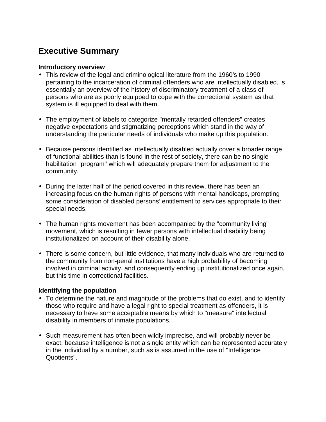# **Executive Summary**

#### **Introductory overview**

- This review of the legal and criminological literature from the 1960's to 1990 pertaining to the incarceration of criminal offenders who are intellectually disabled, is essentially an overview of the history of discriminatory treatment of a class of persons who are as poorly equipped to cope with the correctional system as that system is ill equipped to deal with them.
- The employment of labels to categorize "mentally retarded offenders" creates negative expectations and stigmatizing perceptions which stand in the way of understanding the particular needs of individuals who make up this population.
- Because persons identified as intellectually disabled actually cover a broader range of functional abilities than is found in the rest of society, there can be no single habilitation "program" which will adequately prepare them for adjustment to the community.
- During the latter half of the period covered in this review, there has been an increasing focus on the human rights of persons with mental handicaps, prompting some consideration of disabled persons' entitlement to services appropriate to their special needs.
- The human rights movement has been accompanied by the "community living" movement, which is resulting in fewer persons with intellectual disability being institutionalized on account of their disability alone.
- There is some concern, but little evidence, that many individuals who are returned to the community from non-penal institutions have a high probability of becoming involved in criminal activity, and consequently ending up institutionalized once again, but this time in correctional facilities.

### **Identifying the population**

- To determine the nature and magnitude of the problems that do exist, and to identify those who require and have a legal right to special treatment as offenders, it is necessary to have some acceptable means by which to "measure" intellectual disability in members of inmate populations.
- Such measurement has often been wildly imprecise, and will probably never be exact, because intelligence is not a single entity which can be represented accurately in the individual by a number, such as is assumed in the use of "Intelligence Quotients".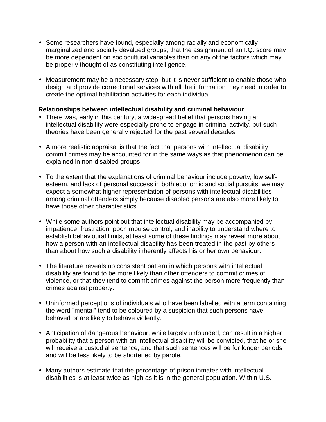- Some researchers have found, especially among racially and economically marginalized and socially devalued groups, that the assignment of an I.Q. score may be more dependent on sociocultural variables than on any of the factors which may be properly thought of as constituting intelligence.
- Measurement may be a necessary step, but it is never sufficient to enable those who design and provide correctional services with all the information they need in order to create the optimal habilitation activities for each individual.

# **Relationships between intellectual disability and criminal behaviour**

- There was, early in this century, a widespread belief that persons having an intellectual disability were especially prone to engage in criminal activity, but such theories have been generally rejected for the past several decades.
- A more realistic appraisal is that the fact that persons with intellectual disability commit crimes may be accounted for in the same ways as that phenomenon can be explained in non-disabled groups.
- To the extent that the explanations of criminal behaviour include poverty, low selfesteem, and lack of personal success in both economic and social pursuits, we may expect a somewhat higher representation of persons with intellectual disabilities among criminal offenders simply because disabled persons are also more likely to have those other characteristics.
- While some authors point out that intellectual disability may be accompanied by impatience, frustration, poor impulse control, and inability to understand where to establish behavioural limits, at least some of these findings may reveal more about how a person with an intellectual disability has been treated in the past by others than about how such a disability inherently affects his or her own behaviour.
- The literature reveals no consistent pattern in which persons with intellectual disability are found to be more likely than other offenders to commit crimes of violence, or that they tend to commit crimes against the person more frequently than crimes against property.
- Uninformed perceptions of individuals who have been labelled with a term containing the word "mental" tend to be coloured by a suspicion that such persons have behaved or are likely to behave violently.
- Anticipation of dangerous behaviour, while largely unfounded, can result in a higher probability that a person with an intellectual disability will be convicted, that he or she will receive a custodial sentence, and that such sentences will be for longer periods and will be less likely to be shortened by parole.
- Many authors estimate that the percentage of prison inmates with intellectual disabilities is at least twice as high as it is in the general population. Within U.S.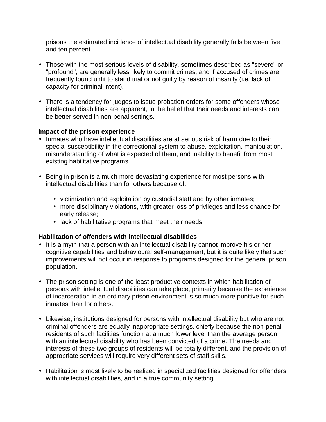prisons the estimated incidence of intellectual disability generally falls between five and ten percent.

- Those with the most serious levels of disability, sometimes described as "severe" or "profound", are generally less likely to commit crimes, and if accused of crimes are frequently found unfit to stand trial or not guilty by reason of insanity (i.e. lack of capacity for criminal intent).
- There is a tendency for judges to issue probation orders for some offenders whose intellectual disabilities are apparent, in the belief that their needs and interests can be better served in non-penal settings.

### **Impact of the prison experience**

- Inmates who have intellectual disabilities are at serious risk of harm due to their special susceptibility in the correctional system to abuse, exploitation, manipulation, misunderstanding of what is expected of them, and inability to benefit from most existing habilitative programs.
- Being in prison is a much more devastating experience for most persons with intellectual disabilities than for others because of:
	- victimization and exploitation by custodial staff and by other inmates;
	- more disciplinary violations, with greater loss of privileges and less chance for early release;
	- lack of habilitative programs that meet their needs.

### **Habilitation of offenders with intellectual disabilities**

- It is a myth that a person with an intellectual disability cannot improve his or her cognitive capabilities and behavioural self-management, but it is quite likely that such improvements will not occur in response to programs designed for the general prison population.
- The prison setting is one of the least productive contexts in which habilitation of persons with intellectual disabilities can take place, primarily because the experience of incarceration in an ordinary prison environment is so much more punitive for such inmates than for others.
- Likewise, institutions designed for persons with intellectual disability but who are not criminal offenders are equally inappropriate settings, chiefly because the non-penal residents of such facilities function at a much lower level than the average person with an intellectual disability who has been convicted of a crime. The needs and interests of these two groups of residents will be totally different, and the provision of appropriate services will require very different sets of staff skills.
- Habilitation is most likely to be realized in specialized facilities designed for offenders with intellectual disabilities, and in a true community setting.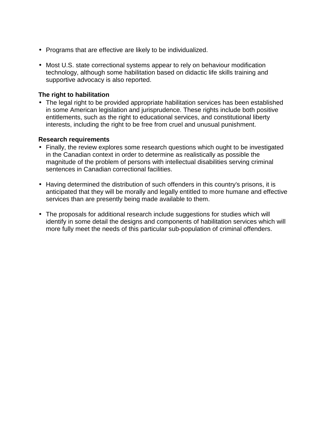- Programs that are effective are likely to be individualized.
- Most U.S. state correctional systems appear to rely on behaviour modification technology, although some habilitation based on didactic life skills training and supportive advocacy is also reported.

# **The right to habilitation**

• The legal right to be provided appropriate habilitation services has been established in some American legislation and jurisprudence. These rights include both positive entitlements, such as the right to educational services, and constitutional liberty interests, including the right to be free from cruel and unusual punishment.

#### **Research requirements**

- Finally, the review explores some research questions which ought to be investigated in the Canadian context in order to determine as realistically as possible the magnitude of the problem of persons with intellectual disabilities serving criminal sentences in Canadian correctional facilities.
- Having determined the distribution of such offenders in this country's prisons, it is anticipated that they will be morally and legally entitled to more humane and effective services than are presently being made available to them.
- The proposals for additional research include suggestions for studies which will identify in some detail the designs and components of habilitation services which will more fully meet the needs of this particular sub-population of criminal offenders.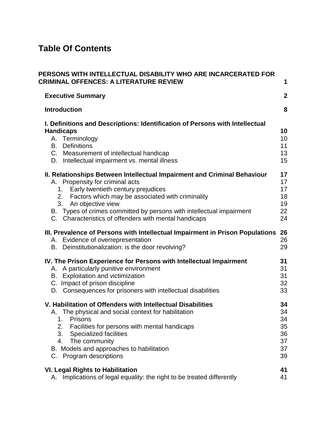# **Table Of Contents**

| PERSONS WITH INTELLECTUAL DISABILITY WHO ARE INCARCERATED FOR<br><b>CRIMINAL OFFENCES: A LITERATURE REVIEW</b>                                                                                                                                                                                                                                                          | 1                                            |
|-------------------------------------------------------------------------------------------------------------------------------------------------------------------------------------------------------------------------------------------------------------------------------------------------------------------------------------------------------------------------|----------------------------------------------|
| <b>Executive Summary</b>                                                                                                                                                                                                                                                                                                                                                | $\boldsymbol{2}$                             |
| <b>Introduction</b>                                                                                                                                                                                                                                                                                                                                                     | 8                                            |
| I. Definitions and Descriptions: Identification of Persons with Intellectual<br><b>Handicaps</b><br>A. Terminology<br><b>B.</b> Definitions<br>C. Measurement of intellectual handicap<br>D. Intellectual impairment vs. mental illness                                                                                                                                 | 10<br>10<br>11<br>13<br>15                   |
| II. Relationships Between Intellectual Impairment and Criminal Behaviour<br>A. Propensity for criminal acts<br>Early twentieth century prejudices<br>1.<br>2. Factors which may be associated with criminality<br>3. An objective view<br>B. Types of crimes committed by persons with intellectual impairment<br>C. Characteristics of offenders with mental handicaps | 17<br>17<br>17<br>18<br>19<br>22<br>24       |
| III. Prevalence of Persons with Intellectual Impairment in Prison Populations<br>A. Evidence of overrepresentation<br>B. Deinstitutionalization: is the door revolving?                                                                                                                                                                                                 | 26<br>26<br>29                               |
| IV. The Prison Experience for Persons with Intellectual Impairment<br>A particularly punitive environment<br>А.<br>B. Exploitation and victimization<br>C. Impact of prison discipline<br>D. Consequences for prisoners with intellectual disabilities                                                                                                                  | 31<br>31<br>31<br>32<br>33                   |
| V. Habilitation of Offenders with Intellectual Disabilities<br>A. The physical and social context for habilitation<br>Prisons<br>1.<br>2.<br>Facilities for persons with mental handicaps<br><b>Specialized facilities</b><br>3.<br>The community<br>4.<br>B. Models and approaches to habilitation<br>C. Program descriptions                                          | 34<br>34<br>34<br>35<br>36<br>37<br>37<br>39 |
| <b>VI. Legal Rights to Habilitation</b><br>A. Implications of legal equality: the right to be treated differently                                                                                                                                                                                                                                                       | 41<br>41                                     |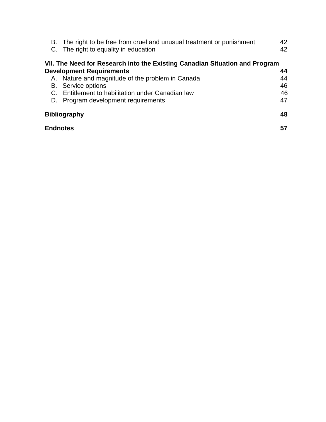|    | B. The right to be free from cruel and unusual treatment or punishment<br>C. The right to equality in education | 42<br>42 |
|----|-----------------------------------------------------------------------------------------------------------------|----------|
|    | VII. The Need for Research into the Existing Canadian Situation and Program                                     |          |
|    | <b>Development Requirements</b>                                                                                 | 44       |
|    | A. Nature and magnitude of the problem in Canada                                                                | 44       |
|    | <b>B.</b> Service options                                                                                       | 46       |
| C. | Entitlement to habilitation under Canadian law                                                                  | 46       |
| D. | Program development requirements                                                                                | 47       |
|    | <b>Bibliography</b>                                                                                             | 48       |
|    | <b>Endnotes</b>                                                                                                 | 57       |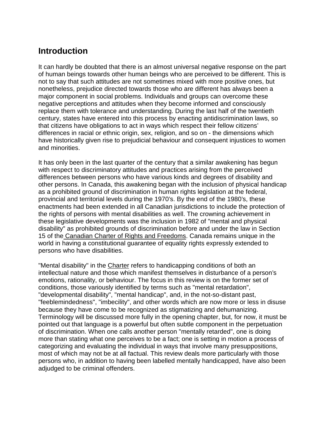# **Introduction**

It can hardly be doubted that there is an almost universal negative response on the part of human beings towards other human beings who are perceived to be different. This is not to say that such attitudes are not sometimes mixed with more positive ones, but nonetheless, prejudice directed towards those who are different has always been a major component in social problems. Individuals and groups can overcome these negative perceptions and attitudes when they become informed and consciously replace them with tolerance and understanding. During the last half of the twentieth century, states have entered into this process by enacting antidiscrimination laws, so that citizens have obligations to act in ways which respect their fellow citizens' differences in racial or ethnic origin, sex, religion, and so on - the dimensions which have historically given rise to prejudicial behaviour and consequent injustices to women and minorities.

It has only been in the last quarter of the century that a similar awakening has begun with respect to discriminatory attitudes and practices arising from the perceived differences between persons who have various kinds and degrees of disability and other persons. In Canada, this awakening began with the inclusion of physical handicap as a prohibited ground of discrimination in human rights legislation at the federal, provincial and territorial levels during the 1970's. By the end of the 1980's, these enactments had been extended in all Canadian jurisdictions to include the protection of the rights of persons with mental disabilities as well. The crowning achievement in these legislative developments was the inclusion in 1982 of "mental and physical disability" as prohibited grounds of discrimination before and under the law in Section 15 of the Canadian Charter of Rights and Freedoms. Canada remains unique in the world in having a constitutional guarantee of equality rights expressly extended to persons who have disabilities.

"Mental disability" in the Charter refers to handicapping conditions of both an intellectual nature and those which manifest themselves in disturbance of a person's emotions, rationality, or behaviour. The focus in this review is on the former set of conditions, those variously identified by terms such as "mental retardation", "developmental disability", "mental handicap", and, in the not-so-distant past, "feeblemindedness", "imbecility", and other words which are now more or less in disuse because they have come to be recognized as stigmatizing and dehumanizing. Terminology will be discussed more fully in the opening chapter, but, for now, it must be pointed out that language is a powerful but often subtle component in the perpetuation of discrimination. When one calls another person "mentally retarded", one is doing more than stating what one perceives to be a fact; one is setting in motion a process of categorizing and evaluating the individual in ways that involve many presuppositions, most of which may not be at all factual. This review deals more particularly with those persons who, in addition to having been labelled mentally handicapped, have also been adjudged to be criminal offenders.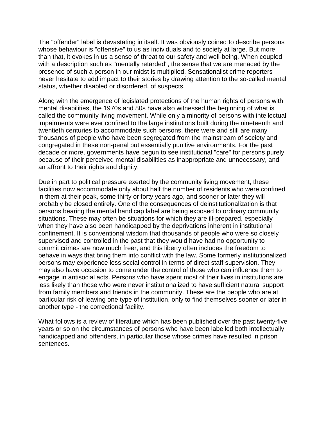The "offender" label is devastating in itself. It was obviously coined to describe persons whose behaviour is "offensive" to us as individuals and to society at large. But more than that, it evokes in us a sense of threat to our safety and well-being. When coupled with a description such as "mentally retarded", the sense that we are menaced by the presence of such a person in our midst is multiplied. Sensationalist crime reporters never hesitate to add impact to their stories by drawing attention to the so-called mental status, whether disabled or disordered, of suspects.

Along with the emergence of legislated protections of the human rights of persons with mental disabilities, the 1970s and 80s have also witnessed the beginning of what is called the community living movement. While only a minority of persons with intellectual impairments were ever confined to the large institutions built during the nineteenth and twentieth centuries to accommodate such persons, there were and still are many thousands of people who have been segregated from the mainstream of society and congregated in these non-penal but essentially punitive environments. For the past decade or more, governments have begun to see institutional "care" for persons purely because of their perceived mental disabilities as inappropriate and unnecessary, and an affront to their rights and dignity.

Due in part to political pressure exerted by the community living movement, these facilities now accommodate only about half the number of residents who were confined in them at their peak, some thirty or forty years ago, and sooner or later they will probably be closed entirely. One of the consequences of deinstitutionalization is that persons bearing the mental handicap label are being exposed to ordinary community situations. These may often be situations for which they are ill-prepared, especially when they have also been handicapped by the deprivations inherent in institutional confinement. It is conventional wisdom that thousands of people who were so closely supervised and controlled in the past that they would have had no opportunity to commit crimes are now much freer, and this liberty often includes the freedom to behave in ways that bring them into conflict with the law. Some formerly institutionalized persons may experience less social control in terms of direct staff supervision. They may also have occasion to come under the control of those who can influence them to engage in antisocial acts. Persons who have spent most of their lives in institutions are less likely than those who were never institutionalized to have sufficient natural support from family members and friends in the community. These are the people who are at particular risk of leaving one type of institution, only to find themselves sooner or later in another type - the correctional facility.

What follows is a review of literature which has been published over the past twenty-five years or so on the circumstances of persons who have been labelled both intellectually handicapped and offenders, in particular those whose crimes have resulted in prison sentences.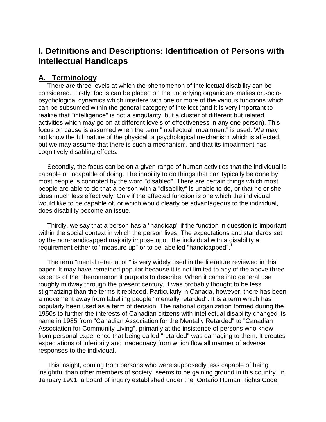# **I. Definitions and Descriptions: Identification of Persons with Intellectual Handicaps**

# **A. Terminology**

 There are three levels at which the phenomenon of intellectual disability can be considered. Firstly, focus can be placed on the underlying organic anomalies or sociopsychological dynamics which interfere with one or more of the various functions which can be subsumed within the general category of intellect (and it is very important to realize that "intelligence" is not a singularity, but a cluster of different but related activities which may go on at different levels of effectiveness in any one person). This focus on cause is assumed when the term "intellectual impairment" is used. We may not know the full nature of the physical or psychological mechanism which is affected, but we may assume that there is such a mechanism, and that its impairment has cognitively disabling effects.

 Secondly, the focus can be on a given range of human activities that the individual is capable or incapable of doing. The inability to do things that can typically be done by most people is connoted by the word "disabled". There are certain things which most people are able to do that a person with a "disability" is unable to do, or that he or she does much less effectively. Only if the affected function is one which the individual would like to be capable of, or which would clearly be advantageous to the individual, does disability become an issue.

 Thirdly, we say that a person has a "handicap" if the function in question is important within the social context in which the person lives. The expectations and standards set by the non-handicapped majority impose upon the individual with a disability a requirement either to "measure up" or to be labelled "handicapped".<sup>1</sup>

 The term "mental retardation" is very widely used in the literature reviewed in this paper. It may have remained popular because it is not limited to any of the above three aspects of the phenomenon it purports to describe. When it came into general use roughly midway through the present century, it was probably thought to be less stigmatizing than the terms it replaced. Particularly in Canada, however, there has been a movement away from labelling people "mentally retarded". It is a term which has popularly been used as a term of derision. The national organization formed during the 1950s to further the interests of Canadian citizens with intellectual disability changed its name in 1985 from "Canadian Association for the Mentally Retarded" to "Canadian Association for Community Living", primarily at the insistence of persons who knew from personal experience that being called "retarded" was damaging to them. It creates expectations of inferiority and inadequacy from which flow all manner of adverse responses to the individual.

 This insight, coming from persons who were supposedly less capable of being insightful than other members of society, seems to be gaining ground in this country. In January 1991, a board of inquiry established under the Ontario Human Rights Code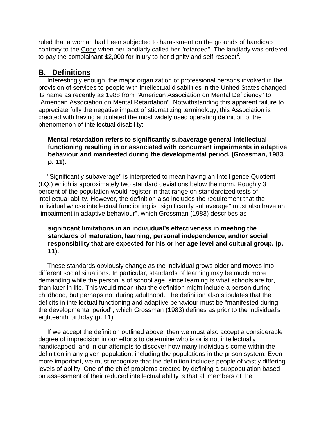ruled that a woman had been subjected to harassment on the grounds of handicap contrary to the Code when her landlady called her "retarded". The landlady was ordered to pay the complainant \$2,000 for injury to her dignity and self-respect<sup>2</sup>.

# **B. Definitions**

 Interestingly enough, the major organization of professional persons involved in the provision of services to people with intellectual disabilities in the United States changed its name as recently as 1988 from "American Association on Mental Deficiency" to "American Association on Mental Retardation". Notwithstanding this apparent failure to appreciate fully the negative impact of stigmatizing terminology, this Association is credited with having articulated the most widely used operating definition of the phenomenon of intellectual disability:

## **Mental retardation refers to significantly subaverage general intellectual functioning resulting in or associated with concurrent impairments in adaptive behaviour and manifested during the developmental period. (Grossman, 1983, p. 11).**

 "Significantly subaverage" is interpreted to mean having an Intelligence Quotient (I.Q.) which is approximately two standard deviations below the norm. Roughly 3 percent of the population would register in that range on standardized tests of intellectual ability. However, the definition also includes the requirement that the individual whose intellectual functioning is "significantly subaverage" must also have an "impairment in adaptive behaviour", which Grossman (1983) describes as

### **significant limitations in an indivudual's effectiveness in meeting the standards of maturation, learning, personal independence, and/or social responsibility that are expected for his or her age level and cultural group. (p. 11).**

 These standards obviously change as the individual grows older and moves into different social situations. In particular, standards of learning may be much more demanding while the person is of school age, since learning is what schools are for, than later in life. This would mean that the definition might include a person during childhood, but perhaps not during adulthood. The definition also stipulates that the deficits in intellectual functioning and adaptive behaviour must be "manifested during the developmental period", which Grossman (1983) defines as prior to the individual's eighteenth birthday (p. 11).

 If we accept the definition outlined above, then we must also accept a considerable degree of imprecision in our efforts to determine who is or is not intellectually handicapped, and in our attempts to discover how many individuals come within the definition in any given population, including the populations in the prison system. Even more important, we must recognize that the definition includes people of vastly differing levels of ability. One of the chief problems created by defining a subpopulation based on assessment of their reduced intellectual ability is that all members of the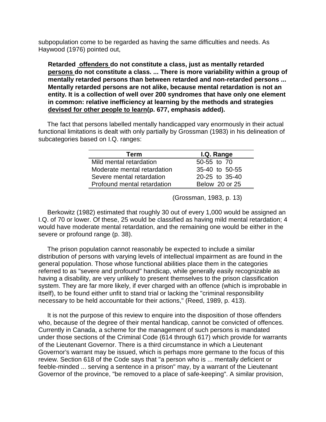subpopulation come to be regarded as having the same difficulties and needs. As Haywood (1976) pointed out,

**Retarded offenders do not constitute a class, just as mentally retarded persons do not constitute a class. ... There is more variability within a group of mentally retarded persons than between retarded and non-retarded persons ... Mentally retarded persons are not alike, because mental retardation is not an entity. It is a collection of well over 200 syndromes that have only one element in common: relative inefficiency at learning by the methods and strategies devised for other people to learn(p. 677, emphasis added).**

 The fact that persons labelled mentally handicapped vary enormously in their actual functional limitations is dealt with only partially by Grossman (1983) in his delineation of subcategories based on I.Q. ranges:

| Term                        | I.Q. Range     |  |
|-----------------------------|----------------|--|
| Mild mental retardation     | 50-55 to 70    |  |
| Moderate mental retardation | 35-40 to 50-55 |  |
| Severe mental retardation   | 20-25 to 35-40 |  |
| Profound mental retardation | Below 20 or 25 |  |

(Grossman, 1983, p. 13)

 Berkowitz (1982) estimated that roughly 30 out of every 1,000 would be assigned an I.Q. of 70 or lower. Of these, 25 would be classified as having mild mental retardation; 4 would have moderate mental retardation, and the remaining one would be either in the severe or profound range (p. 38).

 The prison population cannot reasonably be expected to include a similar distribution of persons with varying levels of intellectual impairment as are found in the general population. Those whose functional abilities place them in the categories referred to as "severe and profound" handicap, while generally easily recognizable as having a disability, are very unlikely to present themselves to the prison classification system. They are far more likely, if ever charged with an offence (which is improbable in itself), to be found either unfit to stand trial or lacking the "criminal responsibility necessary to be held accountable for their actions," (Reed, 1989, p. 413).

 It is not the purpose of this review to enquire into the disposition of those offenders who, because of the degree of their mental handicap, cannot be convicted of offences. Currently in Canada, a scheme for the management of such persons is mandated under those sections of the Criminal Code (614 through 617) which provide for warrants of the Lieutenant Governor. There is a third circumstance in which a Lieutenant Governor's warrant may be issued, which is perhaps more germane to the focus of this review. Section 618 of the Code says that "a person who is ... mentally deficient or feeble-minded ... serving a sentence in a prison" may, by a warrant of the Lieutenant Governor of the province, "be removed to a place of safe-keeping". A similar provision,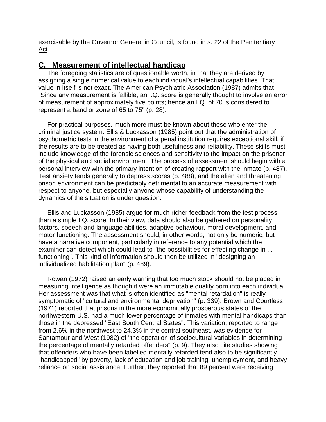exercisable by the Governor General in Council, is found in s. 22 of the Penitentiary Act.

# **C. Measurement of intellectual handicap**

 The foregoing statistics are of questionable worth, in that they are derived by assigning a single numerical value to each individual's intellectual capabilities. That value in itself is not exact. The American Psychiatric Association (1987) admits that "Since any measurement is fallible, an I.Q. score is generally thought to involve an error of measurement of approximately five points; hence an I.Q. of 70 is considered to represent a band or zone of 65 to 75" (p. 28).

 For practical purposes, much more must be known about those who enter the criminal justice system. Ellis & Luckasson (1985) point out that the administration of psychometric tests in the environment of a penal institution requires exceptional skill, if the results are to be treated as having both usefulness and reliability. These skills must include knowledge of the forensic sciences and sensitivity to the impact on the prisoner of the physical and social environment. The process of assessment should begin with a personal interview with the primary intention of creating rapport with the inmate (p. 487). Test anxiety tends generally to depress scores (p. 488), and the alien and threatening prison environment can be predictably detrimental to an accurate measurement with respect to anyone, but especially anyone whose capability of understanding the dynamics of the situation is under question.

 Ellis and Luckasson (1985) argue for much richer feedback from the test process than a simple I.Q. score. In their view, data should also be gathered on personality factors, speech and language abilities, adaptive behaviour, moral development, and motor functioning. The assessment should, in other words, not only be numeric, but have a narrative component, particularly in reference to any potential which the examiner can detect which could lead to "the possibilities for effecting change in ... functioning". This kind of information should then be utilized in "designing an individualized habilitation plan" (p. 489).

 Rowan (1972) raised an early warning that too much stock should not be placed in measuring intelligence as though it were an immutable quality born into each individual. Her assessment was that what is often identified as "mental retardation" is really symptomatic of "cultural and environmental deprivation" (p. 339). Brown and Courtless (1971) reported that prisons in the more economically prosperous states of the northwestern U.S. had a much lower percentage of inmates with mental handicaps than those in the depressed "East South Central States". This variation, reported to range from 2.6% in the northwest to 24.3% in the central southeast, was evidence for Santamour and West (1982) of "the operation of sociocultural variables in determining the percentage of mentally retarded offenders" (p. 9). They also cite studies showing that offenders who have been labelled mentally retarded tend also to be significantly "handicapped" by poverty, lack of education and job training, unemployment, and heavy reliance on social assistance. Further, they reported that 89 percent were receiving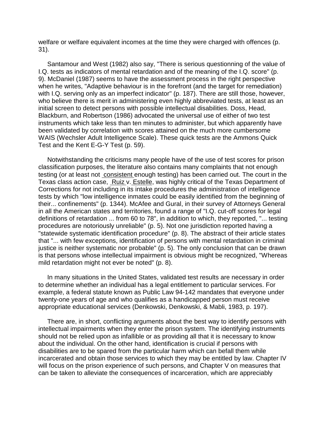welfare or welfare equivalent incomes at the time they were charged with offences (p. 31).

 Santamour and West (1982) also say, "There is serious questionning of the value of I.Q. tests as indicators of mental retardation and of the meaning of the I.Q. score" (p. 9). McDaniel (1987) seems to have the assessment process in the right perspective when he writes, "Adaptive behaviour is in the forefront (and the target for remediation) with I.Q. serving only as an imperfect indicator" (p. 187). There are still those, however, who believe there is merit in administering even highly abbreviated tests, at least as an initial screen to detect persons with possible intellectual disabilities. Doss, Head, Blackburn, and Robertson (1986) advocated the universal use of either of two test instruments which take less than ten minutes to administer, but which apparently have been validated by correlation with scores attained on the much more cumbersome WAIS (Wechsler Adult Intelligence Scale). These quick tests are the Ammons Quick Test and the Kent E-G-Y Test (p. 59).

 Notwithstanding the criticisms many people have of the use of test scores for prison classification purposes, the literature also contains many complaints that not enough testing (or at least not consistent enough testing) has been carried out. The court in the Texas class action case, Ruiz v. Estelle, was highly critical of the Texas Department of Corrections for not including in its intake procedures the administration of intelligence tests by which "low intelligence inmates could be easily identified from the beginning of their... confinements" (p. 1344). McAfee and Gural, in their survey of Attorneys General in all the American states and territories, found a range of "I.Q. cut-off scores for legal definitions of retardation ... from 60 to 78", in addition to which, they reported, "... testing procedures are notoriously unreliable" (p. 5). Not one jurisdiction reported having a "statewide systematic identification procedure" (p. 8). The abstract of their article states that "... with few exceptions, identification of persons with mental retardation in criminal justice is neither systematic nor probable" (p. 5). The only conclusion that can be drawn is that persons whose intellectual impairment is obvious might be recognized, "Whereas mild retardation might not ever be noted" (p. 8).

 In many situations in the United States, validated test results are necessary in order to determine whether an individual has a legal entitlement to particular services. For example, a federal statute known as Public Law 94-142 mandates that everyone under twenty-one years of age and who qualifies as a handicapped person must receive appropriate educational services (Denkowski, Denkowski, & Mabli, 1983, p. 197).

 There are, in short, conflicting arguments about the best way to identify persons with intellectual impairments when they enter the prison system. The identifying instruments should not be relied upon as infallible or as providing all that it is necessary to know about the individual. On the other hand, identification is crucial if persons with disabilities are to be spared from the particular harm which can befall them while incarcerated and obtain those services to which they may be entitled by law. Chapter IV will focus on the prison experience of such persons, and Chapter V on measures that can be taken to alleviate the consequences of incarceration, which are appreciably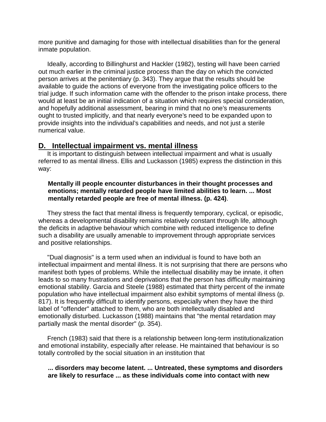more punitive and damaging for those with intellectual disabilities than for the general inmate population.

 Ideally, according to Billinghurst and Hackler (1982), testing will have been carried out much earlier in the criminal justice process than the day on which the convicted person arrives at the penitentiary (p. 343). They argue that the results should be available to guide the actions of everyone from the investigating police officers to the trial judge. If such information came with the offender to the prison intake process, there would at least be an initial indication of a situation which requires special consideration, and hopefully additional assessment, bearing in mind that no one's measurements ought to trusted implicitly, and that nearly everyone's need to be expanded upon to provide insights into the individual's capabilities and needs, and not just a sterile numerical value.

# **D. Intellectual impairment vs. mental illness**

 It is important to distinguish between intellectual impairment and what is usually referred to as mental illness. Ellis and Luckasson (1985) express the distinction in this way:

### **Mentally ill people encounter disturbances in their thought processes and emotions; mentally retarded people have limited abilities to learn. ... Most mentally retarded people are free of mental illness. (p. 424)**.

 They stress the fact that mental illness is frequently temporary, cyclical, or episodic, whereas a developmental disability remains relatively constant through life, although the deficits in adaptive behaviour which combine with reduced intelligence to define such a disability are usually amenable to improvement through appropriate services and positive relationships.

 "Dual diagnosis" is a term used when an individual is found to have both an intellectual impairment and mental illness. It is not surprising that there are persons who manifest both types of problems. While the intellectual disability may be innate, it often leads to so many frustrations and deprivations that the person has difficulty maintaining emotional stability. Garcia and Steele (1988) estimated that thirty percent of the inmate population who have intellectual impairment also exhibit symptoms of mental illness (p. 817). It is frequently difficult to identify persons, especially when they have the third label of "offender" attached to them, who are both intellectually disabled and emotionally disturbed. Luckasson (1988) maintains that "the mental retardation may partially mask the mental disorder" (p. 354).

 French (1983) said that there is a relationship between long-term institutionalization and emotional instability, especially after release. He maintained that behaviour is so totally controlled by the social situation in an institution that

#### **... disorders may become latent. ... Untreated, these symptoms and disorders are likely to resurface ... as these individuals come into contact with new**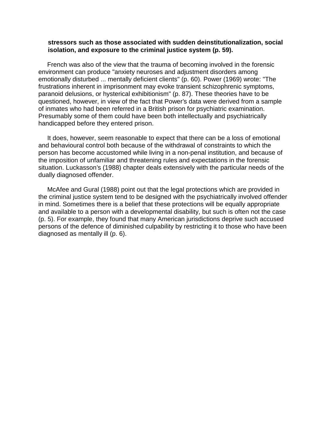#### **stressors such as those associated with sudden deinstitutionalization, social isolation, and exposure to the criminal justice system (p. 59).**

 French was also of the view that the trauma of becoming involved in the forensic environment can produce "anxiety neuroses and adjustment disorders among emotionally disturbed ... mentally deficient clients" (p. 60). Power (1969) wrote: "The frustrations inherent in imprisonment may evoke transient schizophrenic symptoms, paranoid delusions, or hysterical exhibitionism" (p. 87). These theories have to be questioned, however, in view of the fact that Power's data were derived from a sample of inmates who had been referred in a British prison for psychiatric examination. Presumably some of them could have been both intellectually and psychiatrically handicapped before they entered prison.

 It does, however, seem reasonable to expect that there can be a loss of emotional and behavioural control both because of the withdrawal of constraints to which the person has become accustomed while living in a non-penal institution, and because of the imposition of unfamiliar and threatening rules and expectations in the forensic situation. Luckasson's (1988) chapter deals extensively with the particular needs of the dually diagnosed offender.

 McAfee and Gural (1988) point out that the legal protections which are provided in the criminal justice system tend to be designed with the psychiatrically involved offender in mind. Sometimes there is a belief that these protections will be equally appropriate and available to a person with a developmental disability, but such is often not the case (p. 5). For example, they found that many American jurisdictions deprive such accused persons of the defence of diminished culpability by restricting it to those who have been diagnosed as mentally ill (p. 6).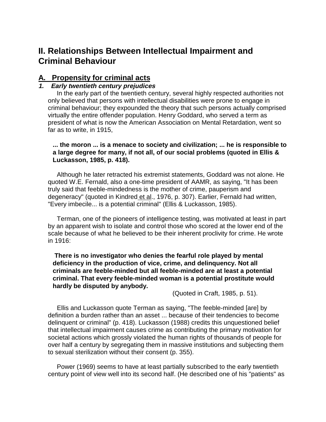# **II. Relationships Between Intellectual Impairment and Criminal Behaviour**

# **A. Propensity for criminal acts**

# **1. Early twentieth century prejudices**

 In the early part of the twentieth century, several highly respected authorities not only believed that persons with intellectual disabilities were prone to engage in criminal behaviour; they expounded the theory that such persons actually comprised virtually the entire offender population. Henry Goddard, who served a term as president of what is now the American Association on Mental Retardation, went so far as to write, in 1915,

**... the moron ... is a menace to society and civilization; ... he is responsible to a large degree for many, if not all, of our social problems (quoted in Ellis & Luckasson, 1985, p. 418).**

 Although he later retracted his extremist statements, Goddard was not alone. He quoted W.E. Fernald, also a one-time president of AAMR, as saying, "It has been truly said that feeble-mindedness is the mother of crime, pauperism and degeneracy" (quoted in Kindred et al., 1976, p. 307). Earlier, Fernald had written, "Every imbecile... is a potential criminal" (Ellis & Luckasson, 1985).

 Terman, one of the pioneers of intelligence testing, was motivated at least in part by an apparent wish to isolate and control those who scored at the lower end of the scale because of what he believed to be their inherent proclivity for crime. He wrote in 1916:

 **There is no investigator who denies the fearful role played by mental deficiency in the production of vice, crime, and delinquency. Not all criminals are feeble-minded but all feeble-minded are at least a potential criminal. That every feeble-minded woman is a potential prostitute would hardly be disputed by anybody.**

(Quoted in Craft, 1985, p. 51).

 Ellis and Luckasson quote Terman as saying, "The feeble-minded [are] by definition a burden rather than an asset ... because of their tendencies to become delinquent or criminal" (p. 418). Luckasson (1988) credits this unquestioned belief that intellectual impairment causes crime as contributing the primary motivation for societal actions which grossly violated the human rights of thousands of people for over half a century by segregating them in massive institutions and subjecting them to sexual sterilization without their consent (p. 355).

 Power (1969) seems to have at least partially subscribed to the early twentieth century point of view well into its second half. (He described one of his "patients" as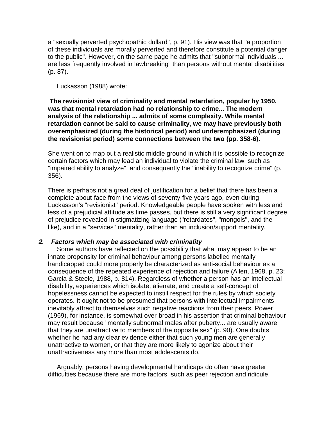a "sexually perverted psychopathic dullard", p. 91). His view was that "a proportion of these individuals are morally perverted and therefore constitute a potential danger to the public". However, on the same page he admits that "subnormal individuals ... are less frequently involved in lawbreaking" than persons without mental disabilities (p. 87).

Luckasson (1988) wrote:

 **The revisionist view of criminality and mental retardation, popular by 1950, was that mental retardation had no relationship to crime... The modern analysis of the relationship ... admits of some complexity. While mental retardation cannot be said to cause criminality, we may have previously both overemphasized (during the historical period) and underemphasized (during the revisionist period) some connections between the two (pp. 358-6).**

She went on to map out a realistic middle ground in which it is possible to recognize certain factors which may lead an individual to violate the criminal law, such as "impaired ability to analyze", and consequently the "inability to recognize crime" (p. 356).

There is perhaps not a great deal of justification for a belief that there has been a complete about-face from the views of seventy-five years ago, even during Luckasson's "revisionist" period. Knowledgeable people have spoken with less and less of a prejudicial attitude as time passes, but there is still a very significant degree of prejudice revealed in stigmatizing language ("retardates", "mongols", and the like), and in a "services" mentality, rather than an inclusion/support mentality.

### **2. Factors which may be associated with criminality**

 Some authors have reflected on the possibility that what may appear to be an innate propensity for criminal behaviour among persons labelled mentally handicapped could more properly be characterized as anti-social behaviour as a consequence of the repeated experience of rejection and failure (Allen, 1968, p. 23; Garcia & Steele, 1988, p. 814). Regardless of whether a person has an intellectual disability, experiences which isolate, alienate, and create a self-concept of hopelessness cannot be expected to instill respect for the rules by which society operates. It ought not to be presumed that persons with intellectual impairments inevitably attract to themselves such negative reactions from their peers. Power (1969), for instance, is somewhat over-broad in his assertion that criminal behaviour may result because "mentally subnormal males after puberty... are usually aware that they are unattractive to members of the opposite sex" (p. 90). One doubts whether he had any clear evidence either that such young men are generally unattractive to women, or that they are more likely to agonize about their unattractiveness any more than most adolescents do.

 Arguably, persons having developmental handicaps do often have greater difficulties because there are more factors, such as peer rejection and ridicule,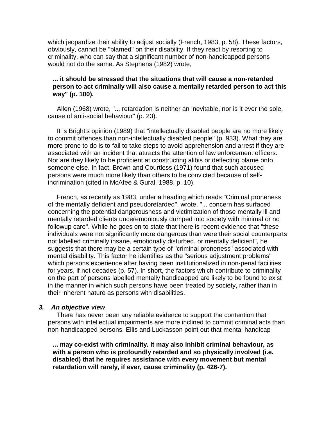which jeopardize their ability to adjust socially (French, 1983, p. 58). These factors, obviously, cannot be "blamed" on their disability. If they react by resorting to criminality, who can say that a significant number of non-handicapped persons would not do the same. As Stephens (1982) wrote,

### **... it should be stressed that the situations that will cause a non-retarded person to act criminally will also cause a mentally retarded person to act this way" (p. 100).**

 Allen (1968) wrote, "... retardation is neither an inevitable, nor is it ever the sole, cause of anti-social behaviour" (p. 23).

 It is Bright's opinion (1989) that "intellectually disabled people are no more likely to commit offences than non-intellectually disabled people" (p. 933). What they are more prone to do is to fail to take steps to avoid apprehension and arrest if they are associated with an incident that attracts the attention of law enforcement officers. Nor are they likely to be proficient at constructing alibis or deflecting blame onto someone else. In fact, Brown and Courtless (1971) found that such accused persons were much more likely than others to be convicted because of selfincrimination (cited in McAfee & Gural, 1988, p. 10).

 French, as recently as 1983, under a heading which reads "Criminal proneness of the mentally deficient and pseudoretarded", wrote, "... concern has surfaced concerning the potential dangerousness and victimization of those mentally ill and mentally retarded clients unceremoniously dumped into society with minimal or no followup care". While he goes on to state that there is recent evidence that "these individuals were not significantly more dangerous than were their social counterparts not labelled criminally insane, emotionally disturbed, or mentally deficient", he suggests that there may be a certain type of "criminal proneness" associated with mental disability. This factor he identifies as the "serious adjustment problems" which persons experience after having been institutionalized in non-penal facilities for years, if not decades (p. 57). In short, the factors which contribute to criminality on the part of persons labelled mentally handicapped are likely to be found to exist in the manner in which such persons have been treated by society, rather than in their inherent nature as persons with disabilities.

#### **3. An objective view**

 There has never been any reliable evidence to support the contention that persons with intellectual impairments are more inclined to commit criminal acts than non-handicapped persons. Ellis and Luckasson point out that mental handicap

**... may co-exist with criminality. It may also inhibit criminal behaviour, as with a person who is profoundly retarded and so physically involved (i.e. disabled) that he requires assistance with every movement but mental retardation will rarely, if ever, cause criminality (p. 426-7).**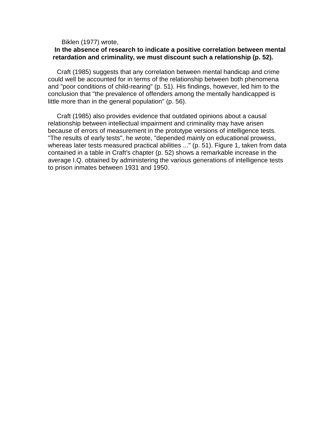#### Biklen (1977) wrote,

#### **In the absence of research to indicate a positive correlation between mental retardation and criminality, we must discount such a relationship (p. 52).**

 Craft (1985) suggests that any correlation between mental handicap and crime could well be accounted for in terms of the relationship between both phenomena and "poor conditions of child-rearing" (p. 51). His findings, however, led him to the conclusion that "the prevalence of offenders among the mentally handicapped is little more than in the general population" (p. 56).

 Craft (1985) also provides evidence that outdated opinions about a causal relationship between intellectual impairment and criminality may have arisen because of errors of measurement in the prototype versions of intelligence tests. "The results of early tests", he wrote, "depended mainly on educational prowess, whereas later tests measured practical abilities ..." (p. 51). Figure 1, taken from data contained in a table in Craft's chapter (p. 52) shows a remarkable increase in the average I.Q. obtained by administering the various generations of intelligence tests to prison inmates between 1931 and 1950.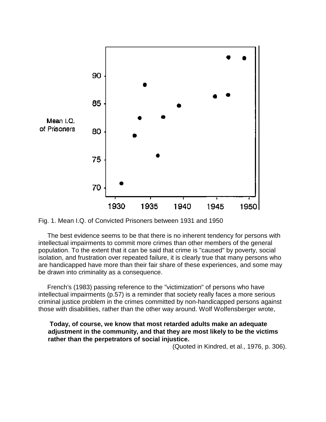

Fig. 1. Mean I.Q. of Convicted Prisoners between 1931 and 1950

 The best evidence seems to be that there is no inherent tendency for persons with intellectual impairments to commit more crimes than other members of the general population. To the extent that it can be said that crime is "caused" by poverty, social isolation, and frustration over repeated failure, it is clearly true that many persons who are handicapped have more than their fair share of these experiences, and some may be drawn into criminality as a consequence.

 French's (1983) passing reference to the "victimization" of persons who have intellectual impairments (p.57) is a reminder that society really faces a more serious criminal justice problem in the crimes committed by non-handicapped persons against those with disabilities, rather than the other way around. Wolf Wolfensberger wrote,

#### **Today, of course, we know that most retarded adults make an adequate adjustment in the community, and that they are most likely to be the victims rather than the perpetrators of social injustice.**

(Quoted in Kindred, et al., 1976, p. 306).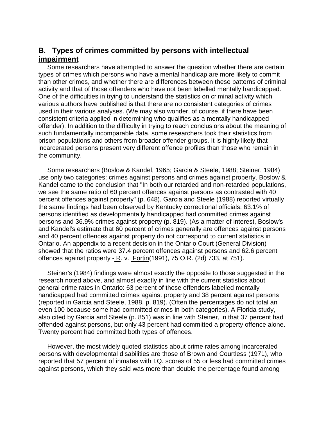# **B. Types of crimes committed by persons with intellectual impairment**

 Some researchers have attempted to answer the question whether there are certain types of crimes which persons who have a mental handicap are more likely to commit than other crimes, and whether there are differences between these patterns of criminal activity and that of those offenders who have not been labelled mentally handicapped. One of the difficulties in trying to understand the statistics on criminal activity which various authors have published is that there are no consistent categories of crimes used in their various analyses. (We may also wonder, of course, if there have been consistent criteria applied in determining who qualifies as a mentally handicapped offender). In addition to the difficulty in trying to reach conclusions about the meaning of such fundamentally incomparable data, some researchers took their statistics from prison populations and others from broader offender groups. It is highly likely that incarcerated persons present very different offence profiles than those who remain in the community.

 Some researchers (Boslow & Kandel, 1965; Garcia & Steele, 1988; Steiner, 1984) use only two categories: crimes against persons and crimes against property. Boslow & Kandel came to the conclusion that "In both our retarded and non-retarded populations, we see the same ratio of 60 percent offences against persons as contrasted with 40 percent offences against property" (p. 648). Garcia and Steele (1988) reported virtually the same findings had been observed by Kentucky correctional officials: 63.1% of persons identified as developmentally handicapped had committed crimes against persons and 36.9% crimes against property (p. 819). (As a matter of interest, Boslow's and Kandel's estimate that 60 percent of crimes generally are offences against persons and 40 percent offences against property do not correspond to current statistics in Ontario. An appendix to a recent decision in the Ontario Court (General Division) showed that the ratios were 37.4 percent offences against persons and 62.6 percent offences against property - R. v. Fortin(1991), 75 O.R. (2d) 733, at 751).

 Steiner's (1984) findings were almost exactly the opposite to those suggested in the research noted above, and almost exactly in line with the current statistics about general crime rates in Ontario: 63 percent of those offenders labelled mentally handicapped had committed crimes against property and 38 percent against persons (reported in Garcia and Steele, 1988, p. 819). (Often the percentages do not total an even 100 because some had committed crimes in both categories). A Florida study, also cited by Garcia and Steele (p. 851) was in line with Steiner, in that 37 percent had offended against persons, but only 43 percent had committed a property offence alone. Twenty percent had committed both types of offences.

 However, the most widely quoted statistics about crime rates among incarcerated persons with developmental disabilities are those of Brown and Courtless (1971), who reported that 57 percent of inmates with I.Q. scores of 55 or less had committed crimes against persons, which they said was more than double the percentage found among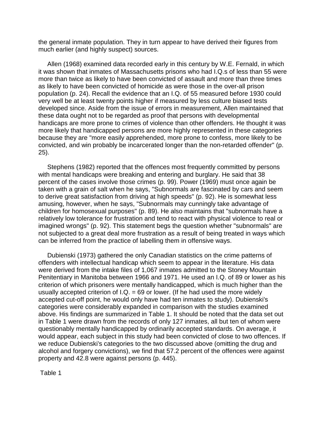the general inmate population. They in turn appear to have derived their figures from much earlier (and highly suspect) sources.

 Allen (1968) examined data recorded early in this century by W.E. Fernald, in which it was shown that inmates of Massachusetts prisons who had I.Q.s of less than 55 were more than twice as likely to have been convicted of assault and more than three times as likely to have been convicted of homicide as were those in the over-all prison population (p. 24). Recall the evidence that an I.Q. of 55 measured before 1930 could very well be at least twenty points higher if measured by less culture biased tests developed since. Aside from the issue of errors in measurement, Allen maintained that these data ought not to be regarded as proof that persons with developmental handicaps are more prone to crimes of violence than other offenders. He thought it was more likely that handicapped persons are more highly represented in these categories because they are "more easily apprehended, more prone to confess, more likely to be convicted, and win probably be incarcerated longer than the non-retarded offender" (p. 25).

 Stephens (1982) reported that the offences most frequently committed by persons with mental handicaps were breaking and entering and burglary. He said that 38 percent of the cases involve those crimes (p. 99). Power (1969) must once again be taken with a grain of salt when he says, "Subnormals are fascinated by cars and seem to derive great satisfaction from driving at high speeds" (p. 92). He is somewhat less amusing, however, when he says, "Subnormals may cunningly take advantage of children for homosexual purposes" (p. 89). He also maintains that "subnormals have a relatively low tolerance for frustration and tend to react with physical violence to real or imagined wrongs" (p. 92). This statement begs the question whether "subnormals" are not subjected to a great deal more frustration as a result of being treated in ways which can be inferred from the practice of labelling them in offensive ways.

 Dubienski (1973) gathered the only Canadian statistics on the crime patterns of offenders with intellectual handicap which seem to appear in the literature. His data were derived from the intake files of 1,067 inmates admitted to the Stoney Mountain Penitentiary in Manitoba between 1966 and 1971. He used an I.Q. of 89 or lower as his criterion of which prisoners were mentally handicapped, which is much higher than the usually accepted criterion of  $I.Q. = 69$  or lower. (If he had used the more widely accepted cut-off point, he would only have had ten inmates to study). Dubienski's categories were considerably expanded in comparison with the studies examined above. His findings are summarized in Table 1. It should be noted that the data set out in Table 1 were drawn from the records of only 127 inmates, all but ten of whom were questionably mentally handicapped by ordinarily accepted standards. On average, it would appear, each subject in this study had been convicted of close to two offences. If we reduce Dubienski's categories to the two discussed above (omitting the drug and alcohol and forgery convictions), we find that 57.2 percent of the offences were against property and 42.8 were against persons (p. 445).

Table 1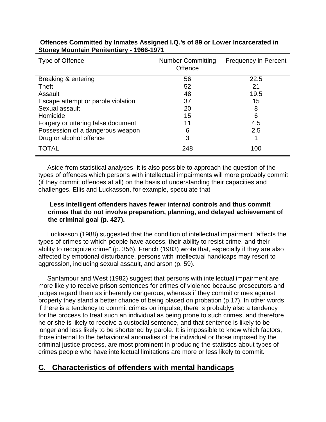| Type of Offence                    | <b>Number Committing</b><br>Offence | <b>Frequency in Percent</b> |
|------------------------------------|-------------------------------------|-----------------------------|
| Breaking & entering                | 56                                  | 22.5                        |
| <b>Theft</b>                       | 52                                  | 21                          |
| Assault                            | 48                                  | 19.5                        |
| Escape attempt or parole violation | 37                                  | 15                          |
| Sexual assault                     | 20                                  | 8                           |
| Homicide                           | 15                                  | 6                           |
| Forgery or uttering false document | 11                                  | 4.5                         |
| Possession of a dangerous weapon   | 6                                   | 2.5                         |
| Drug or alcohol offence            | 3                                   |                             |
| <b>TOTAL</b>                       | 248                                 | 100                         |

# **Offences Committed by Inmates Assigned I.Q.'s of 89 or Lower Incarcerated in Stoney Mountain Penitentiary - 1966-1971**

 Aside from statistical analyses, it is also possible to approach the question of the types of offences which persons with intellectual impairments will more probably commit (if they commit offences at all) on the basis of understanding their capacities and challenges. Ellis and Luckasson, for example, speculate that

# **Less intelligent offenders haves fewer internal controls and thus commit crimes that do not involve preparation, planning, and delayed achievement of the criminal goal (p. 427).**

 Luckasson (1988) suggested that the condition of intellectual impairment "affects the types of crimes to which people have access, their ability to resist crime, and their ability to recognize crime" (p. 356). French (1983) wrote that, especially if they are also affected by emotional disturbance, persons with intellectual handicaps may resort to aggression, including sexual assault, and arson (p. 59).

 Santamour and West (1982) suggest that persons with intellectual impairment are more likely to receive prison sentences for crimes of violence because prosecutors and judges regard them as inherently dangerous, whereas if they commit crimes against property they stand a better chance of being placed on probation (p.17). In other words, if there is a tendency to commit crimes on impulse, there is probably also a tendency for the process to treat such an individual as being prone to such crimes, and therefore he or she is likely to receive a custodial sentence, and that sentence is likely to be longer and less likely to be shortened by parole. It is impossible to know which factors, those internal to the behavioural anomalies of the individual or those imposed by the criminal justice process, are most prominent in producing the statistics about types of crimes people who have intellectual limitations are more or less likely to commit.

# **C. Characteristics of offenders with mental handicaps**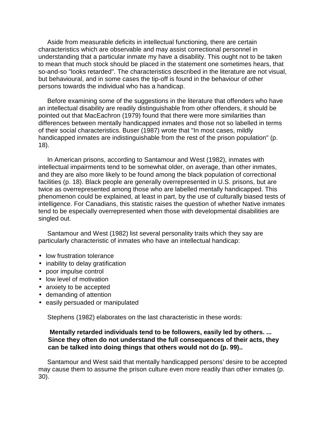Aside from measurable deficits in intellectual functioning, there are certain characteristics which are observable and may assist correctional personnel in understanding that a particular inmate my have a disability. This ought not to be taken to mean that much stock should be placed in the statement one sometimes hears, that so-and-so "looks retarded". The characteristics described in the literature are not visual, but behavioural, and in some cases the tip-off is found in the behaviour of other persons towards the individual who has a handicap.

 Before examining some of the suggestions in the literature that offenders who have an intellectual disability are readily distinguishable from other offenders, it should be pointed out that MacEachron (1979) found that there were more similarities than differences between mentally handicapped inmates and those not so labelled in terms of their social characteristics. Buser (1987) wrote that "In most cases, mildly handicapped inmates are indistinguishable from the rest of the prison population" (p. 18).

 In American prisons, according to Santamour and West (1982), inmates with intellectual impairments tend to be somewhat older, on average, than other inmates, and they are also more likely to be found among the black population of correctional facilities (p. 18). Black people are generally overrepresented in U.S. prisons, but are twice as overrepresented among those who are labelled mentally handicapped. This phenomenon could be explained, at least in part, by the use of culturally biased tests of intelligence. For Canadians, this statistic raises the question of whether Native inmates tend to be especially overrepresented when those with developmental disabilities are singled out.

 Santamour and West (1982) list several personality traits which they say are particularly characteristic of inmates who have an intellectual handicap:

- low frustration tolerance
- inability to delay gratification
- poor impulse control
- low level of motivation
- anxiety to be accepted
- demanding of attention
- easily persuaded or manipulated

Stephens (1982) elaborates on the last characteristic in these words:

#### **Mentally retarded individuals tend to be followers, easily led by others. ... Since they often do not understand the full consequences of their acts, they can be talked into doing things that others would not do (p. 99)..**

 Santamour and West said that mentally handicapped persons' desire to be accepted may cause them to assume the prison culture even more readily than other inmates (p. 30).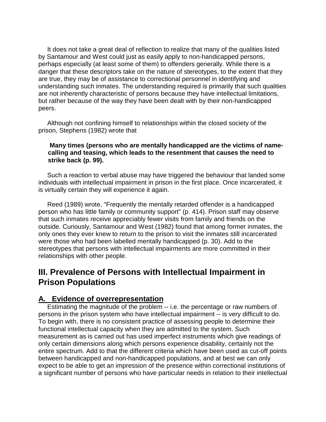It does not take a great deal of reflection to realize that many of the qualities listed by Santamour and West could just as easily apply to non-handicapped persons, perhaps especially (at least some of them) to offenders generally. While there is a danger that these descriptors take on the nature of stereotypes, to the extent that they are true, they may be of assistance to correctional personnel in identifying and understanding such inmates. The understanding required is primarily that such qualities are not inherently characteristic of persons because they have intellectual limitations, but rather because of the way they have been dealt with by their non-handicapped peers.

 Although not confining himself to relationships within the closed society of the prison, Stephens (1982) wrote that

### **Many times (persons who are mentally handicapped are the victims of namecalling and teasing, which leads to the resentment that causes the need to strike back (p. 99).**

 Such a reaction to verbal abuse may have triggered the behaviour that landed some individuals with intellectual impairment in prison in the first place. Once incarcerated, it is virtually certain they will experience it again.

 Reed (1989) wrote, "Frequently the mentally retarded offender is a handicapped person who has little family or community support" (p. 414). Prison staff may observe that such inmates receive appreciably fewer visits from family and friends on the outside. Curiously, Santamour and West (1982) found that among former inmates, the only ones they ever knew to return to the prison to visit the inmates still incarcerated were those who had been labelled mentally handicapped (p. 30). Add to the stereotypes that persons with intellectual impairments are more committed in their relationships with other people.

# **III. Prevalence of Persons with Intellectual Impairment in Prison Populations**

# **A. Evidence of overrepresentation**

 Estimating the magnitude of the problem -- i.e. the percentage or raw numbers of persons in the prison system who have intellectual impairment -- is very difficult to do. To begin with, there is no consistent practice of assessing people to determine their functional intellectual capacity when they are admitted to the system. Such measurement as is carried out has used imperfect instruments which give readings of only certain dimensions along which persons experience disability, certainly not the entire spectrum. Add to that the different criteria which have been used as cut-off points between handicapped and non-handicapped populations, and at best we can only expect to be able to get an impression of the presence within correctional institutions of a significant number of persons who have particular needs in relation to their intellectual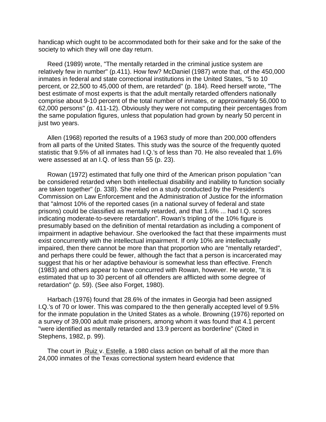handicap which ought to be accommodated both for their sake and for the sake of the society to which they will one day return.

 Reed (1989) wrote, "The mentally retarded in the criminal justice system are relatively few in number" (p.411). How few? McDaniel (1987) wrote that, of the 450,000 inmates in federal and state correctional institutions in the United States, "5 to 10 percent, or 22,500 to 45,000 of them, are retarded" (p. 184). Reed herself wrote, "The best estimate of most experts is that the adult mentally retarded offenders nationally comprise about 9-10 percent of the total number of inmates, or approximately 56,000 to 62,000 persons" (p. 411-12). Obviously they were not computing their percentages from the same population figures, unless that population had grown by nearly 50 percent in just two years.

 Allen (1968) reported the results of a 1963 study of more than 200,000 offenders from all parts of the United States. This study was the source of the frequently quoted statistic that 9.5% of all inmates had I.Q.'s of less than 70. He also revealed that 1.6% were assessed at an I.Q. of less than 55 (p. 23).

 Rowan (1972) estimated that fully one third of the American prison population "can be considered retarded when both intellectual disability and inability to function socially are taken together" (p. 338). She relied on a study conducted by the President's Commission on Law Enforcement and the Administration of Justice for the information that "almost 10% of the reported cases (in a national survey of federal and state prisons) could be classified as mentally retarded, and that 1.6% ... had I.Q. scores indicating moderate-to-severe retardation". Rowan's tripling of the 10% figure is presumably based on the definition of mental retardation as including a component of impairment in adaptive behaviour. She overlooked the fact that these impairments must exist concurrently with the intellectual impairment. If only 10% are intellectually impaired, then there cannot be more than that proportion who are "mentally retarded", and perhaps there could be fewer, although the fact that a person is incarcerated may suggest that his or her adaptive behaviour is somewhat less than effective. French (1983) and others appear to have concurred with Rowan, however. He wrote, "It is estimated that up to 30 percent of all offenders are afflicted with some degree of retardation" (p. 59). (See also Forget, 1980).

 Harbach (1976) found that 28.6% of the inmates in Georgia had been assigned I.Q.'s of 70 or lower. This was compared to the then generally accepted level of 9.5% for the inmate population in the United States as a whole. Browning (1976) reported on a survey of 39,000 adult male prisoners, among whom it was found that 4.1 percent "were identified as mentally retarded and 13.9 percent as borderline" (Cited in Stephens, 1982, p. 99).

The court in Ruiz v. Estelle, a 1980 class action on behalf of all the more than 24,000 inmates of the Texas correctional system heard evidence that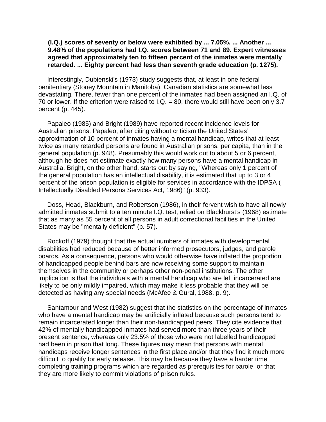#### **(I.Q.) scores of seventy or below were exhibited by ... 7.05%. ... Another ... 9.48% of the populations had I.Q. scores between 71 and 89. Expert witnesses agreed that approximately ten to fifteen percent of the inmates were mentally retarded. ... Eighty percent had less than seventh grade education (p. 1275).**

 Interestingly, Dubienski's (1973) study suggests that, at least in one federal penitentiary (Stoney Mountain in Manitoba), Canadian statistics are somewhat less devastating. There, fewer than one percent of the inmates had been assigned an I.Q. of 70 or lower. If the criterion were raised to I.Q. = 80, there would still have been only 3.7 percent (p. 445).

 Papaleo (1985) and Bright (1989) have reported recent incidence levels for Australian prisons. Papaleo, after citing without criticism the United States' approximation of 10 percent of inmates having a mental handicap, writes that at least twice as many retarded persons are found in Australian prisons, per capita, than in the general population (p. 948). Presumably this would work out to about 5 or 6 percent, although he does not estimate exactly how many persons have a mental handicap in Australia. Bright, on the other hand, starts out by saying, "Whereas only 1 percent of the general population has an intellectual disability, it is estimated that up to 3 or 4 percent of the prison population is eligible for services in accordance with the IDPSA ( Intellectually Disabled Persons Services Act, 1986)" (p. 933).

 Doss, Head, Blackburn, and Robertson (1986), in their fervent wish to have all newly admitted inmates submit to a ten minute I.Q. test, relied on Blackhurst's (1968) estimate that as many as 55 percent of all persons in adult correctional facilities in the United States may be "mentally deficient" (p. 57).

 Rockoff (1979) thought that the actual numbers of inmates with developmental disabilities had reduced because of better informed prosecutors, judges, and parole boards. As a consequence, persons who would otherwise have inflated the proportion of handicapped people behind bars are now receiving some support to maintain themselves in the community or perhaps other non-penal institutions. The other implication is that the individuals with a mental handicap who are left incarcerated are likely to be only mildly impaired, which may make it less probable that they will be detected as having any special needs (McAfee & Gural, 1988, p. 9).

 Santamour and West (1982) suggest that the statistics on the percentage of inmates who have a mental handicap may be artificially inflated because such persons tend to remain incarcerated longer than their non-handicapped peers. They cite evidence that 42% of mentally handicapped inmates had served more than three years of their present sentence, whereas only 23.5% of those who were not labelled handicapped had been in prison that long. These figures may mean that persons with mental handicaps receive longer sentences in the first place and/or that they find it much more difficult to qualify for early release. This may be because they have a harder time completing training programs which are regarded as prerequisites for parole, or that they are more likely to commit violations of prison rules.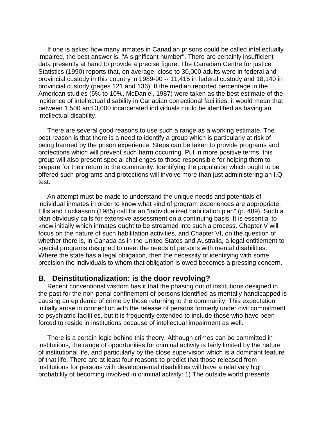If one is asked how many inmates in Canadian prisons could be called intellectually impaired, the best answer is, "A significant number". There are certainly insufficient data presently at hand to provide a precise figure. The Canadian Centre for justice Statistics (1990) reports that, on average, close to 30,000 adults were in federal and provincial custody in this country in 1989-90 -- 11,415 in federal custody and 18,140 in provincial custody (pages 121 and 136). If the median reported percentage in the American studies (5% to 10%, McDaniel, 1987) were taken as the best estimate of the incidence of intellectual disability in Canadian correctional facilities, it would mean that between 1,500 and 3,000 incarcerated individuals could be identified as having an intellectual disability.

 There are several good reasons to use such a range as a working estimate. The best reason is that there is a need to identify a group which is particularly at risk of being harmed by the prison experience. Steps can be taken to provide programs and protections which will prevent such harm occurring. Put in more positive terms, this group will also present special challenges to those responsible for helping them to prepare for their return to the community. Identifying the population which ought to be offered such programs and protections will involve more than just administering an I.Q. test.

 An attempt must be made to understand the unique needs and potentials of individual inmates in order to know what kind of program experiences are appropriate. Ellis and Luckasson (1985) call for an "individualized habilitation plan" (p. 489). Such a plan obviously calls for extensive assessment on a continuing basis. It is essential to know initially which inmates ought to be streamed into such a process. Chapter V will focus on the nature of such habilitation activities, and Chapter VI, on the question of whether there is, in Canada as in the United States and Australia, a legal entitlement to special programs designed to meet the needs of persons with mental disabilities. Where the state has a legal obligation, then the necessity of identifying with some precision the individuals to whom that obligation is owed becomes a pressing concern.

# **B. Deinstitutionalization: is the door revolving?**

 Recent conventional wisdom has it that the phasing out of institutions designed in the past for the non-penal confinement of persons identified as mentally handicapped is causing an epidemic of crime by those returning to the community. This expectation initially arose in connection with the release of persons formerly under civil commitment to psychiatric facilities, but it is frequently extended to include those who have been forced to reside in institutions because of intellectual impairment as well.

 There is a certain logic behind this theory. Although crimes can be committed in institutions, the range of opportunities for criminal activity is fairly limited by the nature of institutional life, and particularly by the close supervision which is a dominant feature of that life. There are at least four reasons to predict that those released from institutions for persons with developmental disabilities will have a relatively high probability of becoming involved in criminal activity: 1) The outside world presents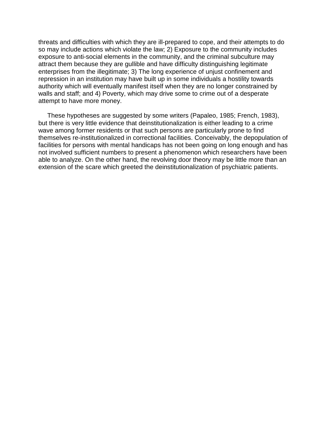threats and difficulties with which they are ill-prepared to cope, and their attempts to do so may include actions which violate the law; 2) Exposure to the community includes exposure to anti-social elements in the community, and the criminal subculture may attract them because they are gullible and have difficulty distinguishing legitimate enterprises from the illegitimate; 3) The long experience of unjust confinement and repression in an institution may have built up in some individuals a hostility towards authority which will eventually manifest itself when they are no longer constrained by walls and staff; and 4) Poverty, which may drive some to crime out of a desperate attempt to have more money.

 These hypotheses are suggested by some writers (Papaleo, 1985; French, 1983), but there is very little evidence that deinstitutionalization is either leading to a crime wave among former residents or that such persons are particularly prone to find themselves re-institutionalized in correctional facilities. Conceivably, the depopulation of facilities for persons with mental handicaps has not been going on long enough and has not involved sufficient numbers to present a phenomenon which researchers have been able to analyze. On the other hand, the revolving door theory may be little more than an extension of the scare which greeted the deinstitutionalization of psychiatric patients.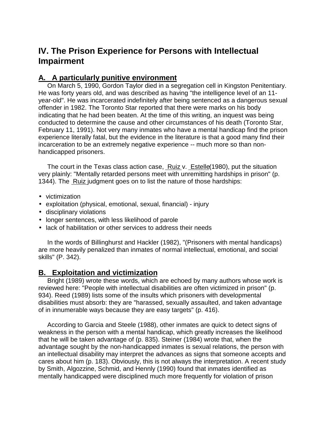# **IV. The Prison Experience for Persons with Intellectual Impairment**

# **A. A particularly punitive environment**

 On March 5, 1990, Gordon Taylor died in a segregation cell in Kingston Penitentiary. He was forty years old, and was described as having "the intelligence level of an 11 year-old". He was incarcerated indefinitely after being sentenced as a dangerous sexual offender in 1982. The Toronto Star reported that there were marks on his body indicating that he had been beaten. At the time of this writing, an inquest was being conducted to determine the cause and other circumstances of his death (Toronto Star, February 11, 1991). Not very many inmates who have a mental handicap find the prison experience literally fatal, but the evidence in the literature is that a good many find their incarceration to be an extremely negative experience -- much more so than nonhandicapped prisoners.

 The court in the Texas class action case, Ruiz v. Estelle(1980), put the situation very plainly: "Mentally retarded persons meet with unremitting hardships in prison" (p. 1344). The Ruiz judgment goes on to list the nature of those hardships:

- victimization
- exploitation (physical, emotional, sexual, financial) injury
- disciplinary violations
- longer sentences, with less likelihood of parole
- lack of habilitation or other services to address their needs

 In the words of Billinghurst and Hackler (1982), "(Prisoners with mental handicaps) are more heavily penalized than inmates of normal intellectual, emotional, and social skills" (P. 342).

# **B. Exploitation and victimization**

 Bright (1989) wrote these words, which are echoed by many authors whose work is reviewed here: "People with intellectual disabilities are often victimized in prison" (p. 934). Reed (1989) lists some of the insults which prisoners with developmental disabilities must absorb: they are "harassed, sexually assaulted, and taken advantage of in innumerable ways because they are easy targets" (p. 416).

 According to Garcia and Steele (1988), other inmates are quick to detect signs of weakness in the person with a mental handicap, which greatly increases the likelihood that he will be taken advantage of (p. 835). Steiner (1984) wrote that, when the advantage sought by the non-handicapped inmates is sexual relations, the person with an intellectual disability may interpret the advances as signs that someone accepts and cares about him (p. 183). Obviously, this is not always the interpretation. A recent study by Smith, Algozzine, Schmid, and Hennly (1990) found that inmates identified as mentally handicapped were disciplined much more frequently for violation of prison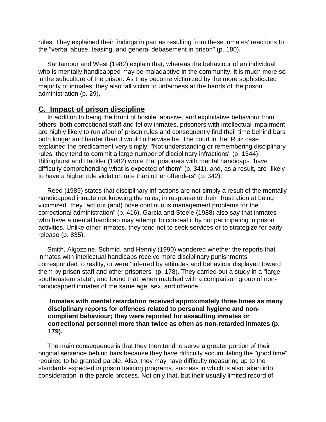rules. They explained their findings in part as resulting from these inmates' reactions to the "verbal abuse, teasing, and general debasement in prison" (p. 180).

 Santamour and West (1982) explain that, whereas the behaviour of an individual who is mentally handicapped may be maladaptive in the community, it is much more so in the subculture of the prison. As they become victimized by the more sophisticated majority of inmates, they also fall victim to unfairness at the hands of the prison administration (p. 29).

# **C. Impact of prison discipline**

 In addition to being the brunt of hostile, abusive, and exploitative behaviour from others, both correctional staff and fellow-inmates, prisoners with intellectual impairment are highly likely to run afoul of prison rules and consequently find their time behind bars both longer and harder than it would otherwise be. The court in the Ruiz case explained the predicament very simply: "Not understanding or remembering disciplinary rules, they tend to commit a large number of disciplinary infractions" (p. 1344). Billinghurst and Hackler (1982) wrote that prisoners with mental handicaps "have difficulty comprehending what is expected of them" (p. 341), and, as a result, are "likely to have a higher rule violation rate than other offenders" (p. 342).

 Reed (1989) states that disciplinary infractions are not simply a result of the mentally handicapped inmate not knowing the rules; in response to their "frustration at being victimized" they "act out (and) pose continuous management problems for the correctional administration" (p. 416). Garcia and Steele (1988) also say that inmates who have a mental handicap may attempt to conceal it by not participating in prison activities. Unlike other inmates, they tend not to seek services or to strategize for early release (p. 835).

 Smith, Algozzine, Schmid, and Hennly (1990) wondered whether the reports that inmates with intellectual handicaps receive more disciplinary punishments corresponded to reality, or were "inferred by attitudes and behaviour displayed toward them by prison staff and other prisoners" (p. 178). They carried out a study in a "large southeastern state", and found that, when matched with a comparison group of nonhandicapped inmates of the same age, sex, and offence,

### **Inmates with mental retardation received approximately three times as many disciplinary reports for offences related to personal hygiene and noncompliant behaviour; they were reported for assaulting inmates or correctional personnel more than twice as often as non-retarded inmates (p. 179).**

 The main consequence is that they then tend to serve a greater portion of their original sentence behind bars because they have difficulty accumulating the "good time" required to be granted parole. Also, they may have difficulty measuring up to the standards expected in prison training programs, success in which is also taken into consideration in the parole process. Not only that, but their usually limited record of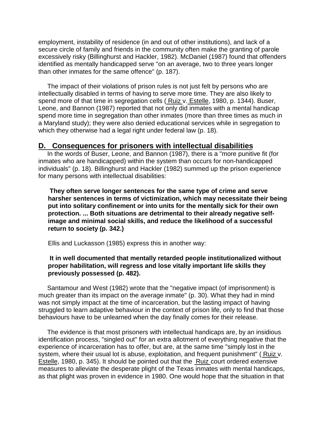employment, instability of residence (in and out of other institutions), and lack of a secure circle of family and friends in the community often make the granting of parole excessively risky (Billinghurst and Hackler, 1982). McDaniel (1987) found that offenders identified as mentally handicapped serve "on an average, two to three years longer than other inmates for the same offence" (p. 187).

 The impact of their violations of prison rules is not just felt by persons who are intellectually disabled in terms of having to serve more time. They are also likely to spend more of that time in segregation cells ( Ruiz v. Estelle, 1980, p. 1344). Buser, Leone, and Bannon (1987) reported that not only did inmates with a mental handicap spend more time in segregation than other inmates (more than three times as much in a Maryland study); they were also denied educational services while in segregation to which they otherwise had a legal right under federal law (p. 18).

# **D. Consequences for prisoners with intellectual disabilities**

 In the words of Buser, Leone, and Bannon (1987), there is a "more punitive fit (for inmates who are handicapped) within the system than occurs for non-handicapped individuals" (p. 18). Billinghurst and Hackler (1982) summed up the prison experience for many persons with intellectual disabilities:

 **They often serve longer sentences for the same type of crime and serve harsher sentences in terms of victimization, which may necessitate their being put into solitary confinement or into units for the mentally sick for their own protection. ... Both situations are detrimental to their already negative selfimage and minimal social skills, and reduce the likelihood of a successful return to society (p. 342.)**

Ellis and Luckasson (1985) express this in another way:

### **It in well documented that mentally retarded people institutionalized without proper habilitation, will regress and lose vitally important life skills they previously possessed (p. 482).**

 Santamour and West (1982) wrote that the "negative impact (of imprisonment) is much greater than its impact on the average inmate" (p. 30). What they had in mind was not simply impact at the time of incarceration, but the lasting impact of having struggled to learn adaptive behaviour in the context of prison life, only to find that those behaviours have to be unlearned when the day finally comes for their release.

 The evidence is that most prisoners with intellectual handicaps are, by an insidious identification process, "singled out" for an extra allotment of everything negative that the experience of incarceration has to offer, but are, at the same time "simply lost in the system, where their usual lot is abuse, exploitation, and frequent punishment" ( Ruiz v. Estelle, 1980, p. 345). It should be pointed out that the Ruiz court ordered extensive measures to alleviate the desperate plight of the Texas inmates with mental handicaps, as that plight was proven in evidence in 1980. One would hope that the situation in that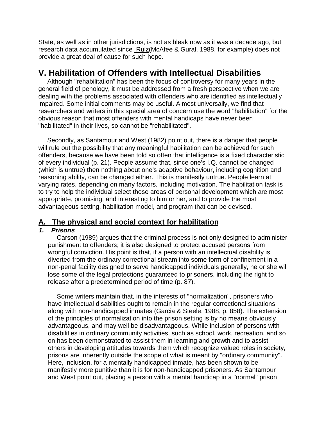State, as well as in other jurisdictions, is not as bleak now as it was a decade ago, but research data accumulated since Ruiz(McAfee & Gural, 1988, for example) does not provide a great deal of cause for such hope.

# **V. Habilitation of Offenders with Intellectual Disabilities**

 Although "rehabilitation" has been the focus of controversy for many years in the general field of penology, it must be addressed from a fresh perspective when we are dealing with the problems associated with offenders who are identified as intellectually impaired. Some initial comments may be useful. Almost universally, we find that researchers and writers in this special area of concern use the word "habilitation" for the obvious reason that most offenders with mental handicaps have never been "habilitated" in their lives, so cannot be "rehabilitated".

 Secondly, as Santamour and West (1982) point out, there is a danger that people will rule out the possibility that any meaningful habilitation can be achieved for such offenders, because we have been told so often that intelligence is a fixed characteristic of every individual (p. 21). People assume that, since one's I.Q. cannot be changed (which is untrue) then nothing about one's adaptive behaviour, including cognition and reasoning ability, can be changed either. This is manifestly untrue. People learn at varying rates, depending on many factors, including motivation. The habilitation task is to try to help the individual select those areas of personal development which are most appropriate, promising, and interesting to him or her, and to provide the most advantageous setting, habilitation model, and program that can be devised.

# **A. The physical and social context for habilitation**

### **1. Prisons**

 Carson (1989) argues that the criminal process is not only designed to administer punishment to offenders; it is also designed to protect accused persons from wrongful conviction. His point is that, if a person with an intellectual disability is diverted from the ordinary correctional stream into some form of confinement in a non-penal facility designed to serve handicapped individuals generally, he or she will lose some of the legal protections guaranteed to prisoners, including the right to release after a predetermined period of time (p. 87).

 Some writers maintain that, in the interests of "normalization", prisoners who have intellectual disabilities ought to remain in the regular correctional situations along with non-handicapped inmates (Garcia & Steele, 1988, p. 858). The extension of the principles of normalization into the prison setting is by no means obviously advantageous, and may well be disadvantageous. While inclusion of persons with disabilities in ordinary community activities, such as school, work, recreation, and so on has been demonstrated to assist them in learning and growth and to assist others in developing attitudes towards them which recognize valued roles in society, prisons are inherently outside the scope of what is meant by "ordinary community". Here, inclusion, for a mentally handicapped inmate, has been shown to be manifestly more punitive than it is for non-handicapped prisoners. As Santamour and West point out, placing a person with a mental handicap in a "normal" prison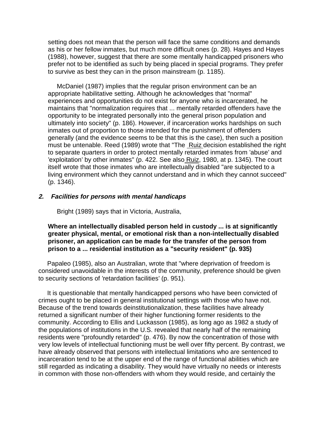setting does not mean that the person will face the same conditions and demands as his or her fellow inmates, but much more difficult ones (p. 28). Hayes and Hayes (1988), however, suggest that there are some mentally handicapped prisoners who prefer not to be identified as such by being placed in special programs. They prefer to survive as best they can in the prison mainstream (p. 1185).

 McDaniel (1987) implies that the regular prison environment can be an appropriate habilitative setting. Although he acknowledges that "normal" experiences and opportunities do not exist for anyone who is incarcerated, he maintains that "normalization requires that ... mentally retarded offenders have the opportunity to be integrated personally into the general prison population and ultimately into society" (p. 186). However, if incarceration works hardships on such inmates out of proportion to those intended for the punishment of offenders generally (and the evidence seems to be that this is the case), then such a position must be untenable. Reed (1989) wrote that "The Ruiz decision established the right to separate quarters in order to protect mentally retarded inmates from 'abuse' and 'exploitation' by other inmates" (p. 422. See also Ruiz, 1980, at p. 1345). The court itself wrote that those inmates who are intellectually disabled "are subjected to a living environment which they cannot understand and in which they cannot succeed" (p. 1346).

#### **2. Facilities for persons with mental handicaps**

Bright (1989) says that in Victoria, Australia,

**Where an intellectually disabled person held in custody ... is at significantly greater physical, mental, or emotional risk than a non-intellectually disabled prisoner, an application can be made for the transfer of the person from prison to a ... residential institution as a "security resident" (p. 935)**

 Papaleo (1985), also an Australian, wrote that "where deprivation of freedom is considered unavoidable in the interests of the community, preference should be given to security sections of 'retardation facilities' (p. 951).

 It is questionable that mentally handicapped persons who have been convicted of crimes ought to be placed in general institutional settings with those who have not. Because of the trend towards deinstitutionalization, these facilities have already returned a significant number of their higher functioning former residents to the community. According to Ellis and Luckasson (1985), as long ago as 1982 a study of the populations of institutions in the U.S. revealed that nearly half of the remaining residents were "profoundly retarded" (p. 476). By now the concentration of those with very low levels of intellectual functioning must be well over fifty percent. By contrast, we have already observed that persons with intellectual limitations who are sentenced to incarceration tend to be at the upper end of the range of functional abilities which are still regarded as indicating a disability. They would have virtually no needs or interests in common with those non-offenders with whom they would reside, and certainly the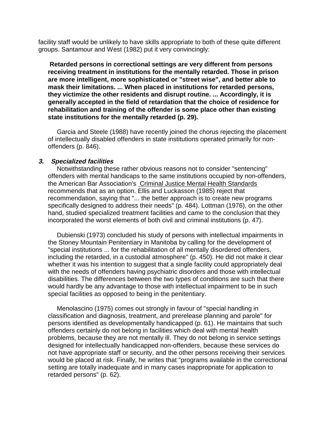facility staff would be unlikely to have skills appropriate to both of these quite different groups. Santamour and West (1982) put it very convincingly:

 **Retarded persons in correctional settings are very different from persons receiving treatment in institutions for the mentally retarded. Those in prison are more intelligent, more sophisticated or "street wise", and better able to mask their limitations. ... When placed in institutions for retarded persons, they victimize the other residents and disrupt routine. ... Accordingly, it is generally accepted in the field of retardation that the choice of residence for rehabilitation and training of the offender is some place other than existing state institutions for the mentally retarded (p. 29).**

 Garcia and Steele (1988) have recently joined the chorus rejecting the placement of intellectually disabled offenders in state institutions operated primarily for nonoffenders (p. 846).

#### **3. Specialized facilities**

 Notwithstanding these rather obvious reasons not to consider "sentencing" offenders with mental handicaps to the same institutions occupied by non-offenders, the American Bar Association's Criminal Justice Mental Health Standards recommends that as an option. Ellis and Luckasson (1985) reject that recommendation, saying that "... the better approach is to create new programs specifically designed to address their needs" (p. 484). Lottman (1976), on the other hand, studied specialized treatment facilities and came to the conclusion that they incorporated the worst elements of both civil and criminal institutions (p. 47).

 Dubienski (1973) concluded his study of persons with intellectual impairments in the Stoney Mountain Penitentiary in Manitoba by calling for the development of "special institutions ... for the rehabilitation of all mentally disordered offenders, including the retarded, in a custodial atmosphere" (p. 450). He did not make it clear whether it was his intention to suggest that a single facility could appropriately deal with the needs of offenders having psychiatric disorders and those with intellectual disabilities. The differences between the two types of conditions are such that there would hardly be any advantage to those with intellectual impairment to be in such special facilities as opposed to being in the penitentiary.

 Menolascino (1975) comes out strongly in favour of "special handling in classification and diagnosis, treatment, and prerelease planning and parole" for persons identified as developmentally handicapped (p. 61). He maintains that such offenders certainly do not belong in facilities which deal with mental health problems, because they are not mentally ill. They do not belong in service settings designed for intellectually handicapped non-offenders, because these services do not have appropriate staff or security, and the other persons receiving their services would be placed at risk. Finally, he writes that "programs available in the correctional setting are totally inadequate and in many cases inappropriate for application to retarded persons" (p. 62).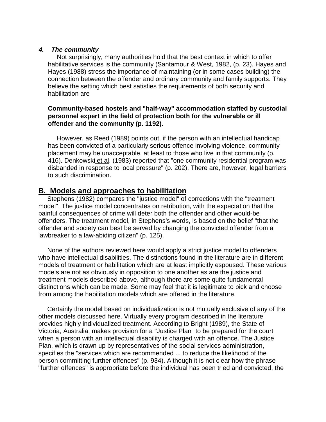#### **4. The community**

 Not surprisingly, many authorities hold that the best context in which to offer habilitative services is the community (Santamour & West, 1982, (p. 23). Hayes and Hayes (1988) stress the importance of maintaining (or in some cases building) the connection between the offender and ordinary community and family supports. They believe the setting which best satisfies the requirements of both security and habilitation are

### **Community-based hostels and "half-way" accommodation staffed by custodial personnel expert in the field of protection both for the vulnerable or ill offender and the community (p. 1192).**

 However, as Reed (1989) points out, if the person with an intellectual handicap has been convicted of a particularly serious offence involving violence, community placement may be unacceptable, at least to those who live in that community (p. 416). Denkowski et al. (1983) reported that "one community residential program was disbanded in response to local pressure" (p. 202). There are, however, legal barriers to such discrimination.

# **B. Models and approaches to habilitation**

 Stephens (1982) compares the "justice model" of corrections with the "treatment model". The justice model concentrates on retribution, with the expectation that the painful consequences of crime will deter both the offender and other would-be offenders. The treatment model, in Stephens's words, is based on the belief "that the offender and society can best be served by changing the convicted offender from a lawbreaker to a law-abiding citizen" (p. 125).

 None of the authors reviewed here would apply a strict justice model to offenders who have intellectual disabilities. The distinctions found in the literature are in different models of treatment or habilitation which are at least implicitly espoused. These various models are not as obviously in opposition to one another as are the justice and treatment models described above, although there are some quite fundamental distinctions which can be made. Some may feel that it is legitimate to pick and choose from among the habilitation models which are offered in the literature.

 Certainly the model based on individualization is not mutually exclusive of any of the other models discussed here. Virtually every program described in the literature provides highly individualized treatment. According to Bright (1989), the State of Victoria, Australia, makes provision for a "Justice Plan" to be prepared for the court when a person with an intellectual disability is charged with an offence. The Justice Plan, which is drawn up by representatives of the social services administration, specifies the "services which are recommended ... to reduce the likelihood of the person committing further offences" (p. 934). Although it is not clear how the phrase "further offences" is appropriate before the individual has been tried and convicted, the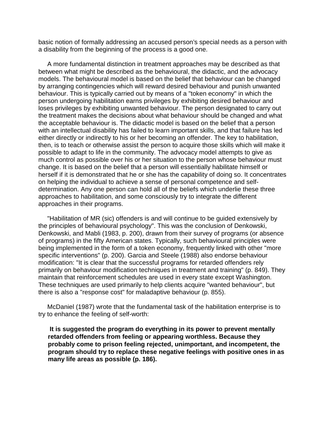basic notion of formally addressing an accused person's special needs as a person with a disability from the beginning of the process is a good one.

 A more fundamental distinction in treatment approaches may be described as that between what might be described as the behavioural, the didactic, and the advocacy models. The behavioural model is based on the belief that behaviour can be changed by arranging contingencies which will reward desired behaviour and punish unwanted behaviour. This is typically carried out by means of a "token economy" in which the person undergoing habilitation earns privileges by exhibiting desired behaviour and loses privileges by exhibiting unwanted behaviour. The person designated to carry out the treatment makes the decisions about what behaviour should be changed and what the acceptable behaviour is. The didactic model is based on the belief that a person with an intellectual disability has failed to learn important skills, and that failure has led either directly or indirectly to his or her becoming an offender. The key to habilitation, then, is to teach or otherwise assist the person to acquire those skills which will make it possible to adapt to life in the community. The advocacy model attempts to give as much control as possible over his or her situation to the person whose behaviour must change. It is based on the belief that a person will essentially habilitate himself or herself if it is demonstrated that he or she has the capability of doing so. It concentrates on helping the individual to achieve a sense of personal competence and selfdetermination. Any one person can hold all of the beliefs which underlie these three approaches to habilitation, and some consciously try to integrate the different approaches in their programs.

 "Habilitation of MR (sic) offenders is and will continue to be guided extensively by the principles of behavioural psychology". This was the conclusion of Denkowski, Denkowski, and Mabli (1983, p. 200), drawn from their survey of programs (or absence of programs) in the fifty American states. Typically, such behavioural principles were being implemented in the form of a token economy, frequently linked with other "more specific interventions" (p. 200). Garcia and Steele (1988) also endorse behaviour modification: "It is clear that the successful programs for retarded offenders rely primarily on behaviour modification techniques in treatment and training" (p. 849). They maintain that reinforcement schedules are used in every state except Washington. These techniques are used primarily to help clients acquire "wanted behaviour", but there is also a "response cost" for maladaptive behaviour (p. 855).

 McDaniel (1987) wrote that the fundamental task of the habilitation enterprise is to try to enhance the feeling of self-worth:

 **It is suggested the program do everything in its power to prevent mentally retarded offenders from feeling or appearing worthless. Because they probably come to prison feeling rejected, unimportant, and incompetent, the program should try to replace these negative feelings with positive ones in as many life areas as possible (p. 186).**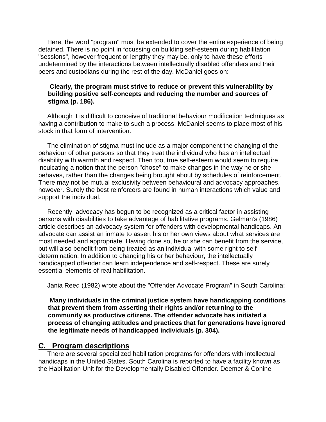Here, the word "program" must be extended to cover the entire experience of being detained. There is no point in focussing on building self-esteem during habilitation "sessions", however frequent or lengthy they may be, only to have these efforts undetermined by the interactions between intellectually disabled offenders and their peers and custodians during the rest of the day. McDaniel goes on:

### **Clearly, the program must strive to reduce or prevent this vulnerability by building positive self-concepts and reducing the number and sources of stigma (p. 186).**

 Although it is difficult to conceive of traditional behaviour modification techniques as having a contribution to make to such a process, McDaniel seems to place most of his stock in that form of intervention.

 The elimination of stigma must include as a major component the changing of the behaviour of other persons so that they treat the individual who has an intellectual disability with warmth and respect. Then too, true self-esteem would seem to require inculcating a notion that the person "chose" to make changes in the way he or she behaves, rather than the changes being brought about by schedules of reinforcement. There may not be mutual exclusivity between behavioural and advocacy approaches, however. Surely the best reinforcers are found in human interactions which value and support the individual.

 Recently, advocacy has begun to be recognized as a critical factor in assisting persons with disabilities to take advantage of habilitative programs. Gelman's (1986) article describes an advocacy system for offenders with developmental handicaps. An advocate can assist an inmate to assert his or her own views about what services are most needed and appropriate. Having done so, he or she can benefit from the service, but will also benefit from being treated as an individual with some right to selfdetermination. In addition to changing his or her behaviour, the intellectually handicapped offender can learn independence and self-respect. These are surely essential elements of real habilitation.

Jania Reed (1982) wrote about the "Offender Advocate Program" in South Carolina:

 **Many individuals in the criminal justice system have handicapping conditions that prevent them from asserting their rights and/or returning to the community as productive citizens. The offender advocate has initiated a process of changing attitudes and practices that for generations have ignored the legitimate needs of handicapped individuals (p. 304).**

### **C. Program descriptions**

 There are several specialized habilitation programs for offenders with intellectual handicaps in the United States. South Carolina is reported to have a facility known as the Habilitation Unit for the Developmentally Disabled Offender. Deemer & Conine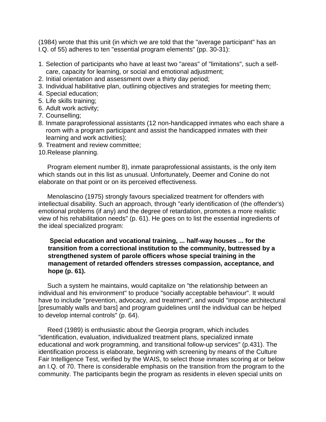(1984) wrote that this unit (in which we are told that the "average participant" has an I.Q. of 55) adheres to ten "essential program elements" (pp. 30-31):

- 1. Selection of participants who have at least two "areas" of "limitations", such a selfcare, capacity for learning, or social and emotional adjustment;
- 2. Initial orientation and assessment over a thirty day period;
- 3. Individual habilitative plan, outlining objectives and strategies for meeting them;
- 4. Special education;
- 5. Life skills training;
- 6. Adult work activity;
- 7. Counselling;
- 8. Inmate paraprofessional assistants (12 non-handicapped inmates who each share a room with a program participant and assist the handicapped inmates with their learning and work activities);
- 9. Treatment and review committee;
- 10. Release planning.

 Program element number 8), inmate paraprofessional assistants, is the only item which stands out in this list as unusual. Unfortunately, Deemer and Conine do not elaborate on that point or on its perceived effectiveness.

 Menolascino (1975) strongly favours specialized treatment for offenders with intellectual disability. Such an approach, through "early identification of (the offender's) emotional problems (if any) and the degree of retardation, promotes a more realistic view of his rehabilitation needs" (p. 61). He goes on to list the essential ingredients of the ideal specialized program:

### **Special education and vocational training, ... half-way houses ... for the transition from a correctional institution to the community, buttressed by a strengthened system of parole officers whose special training in the management of retarded offenders stresses compassion, acceptance, and hope (p. 61).**

 Such a system he maintains, would capitalize on "the relationship between an individual and his environment" to produce "socially acceptable behaviour". It would have to include "prevention, advocacy, and treatment", and would "impose architectural [presumably walls and bars] and program guidelines until the individual can be helped to develop internal controls" (p. 64).

 Reed (1989) is enthusiastic about the Georgia program, which includes "identification, evaluation, individualized treatment plans, specialized inmate educational and work programming, and transitional follow-up services" (p.431). The identification process is elaborate, beginning with screening by means of the Culture Fair Intelligence Test, verified by the WAIS, to select those inmates scoring at or below an I.Q. of 70. There is considerable emphasis on the transition from the program to the community. The participants begin the program as residents in eleven special units on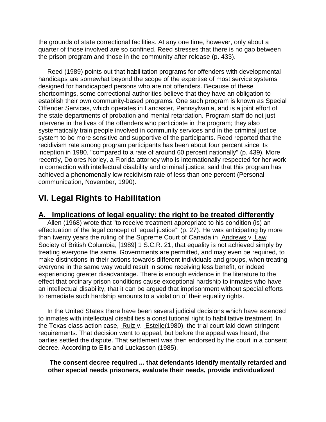the grounds of state correctional facilities. At any one time, however, only about a quarter of those involved are so confined. Reed stresses that there is no gap between the prison program and those in the community after release (p. 433).

 Reed (1989) points out that habilitation programs for offenders with developmental handicaps are somewhat beyond the scope of the expertise of most service systems designed for handicapped persons who are not offenders. Because of these shortcomings, some correctional authorities believe that they have an obligation to establish their own community-based programs. One such program is known as Special Offender Services, which operates in Lancaster, Pennsylvania, and is a joint effort of the state departments of probation and mental retardation. Program staff do not just intervene in the lives of the offenders who participate in the program; they also systematically train people involved in community services and in the criminal justice system to be more sensitive and supportive of the participants. Reed reported that the recidivism rate among program participants has been about four percent since its inception in 1980, "compared to a rate of around 60 percent nationally" (p. 439). More recently, Dolores Norley, a Florida attorney who is internationally respected for her work in connection with intellectual disability and criminal justice, said that this program has achieved a phenomenally low recidivism rate of less than one percent (Personal communication, November, 1990).

# **VI. Legal Rights to Habilitation**

# **A. Implications of legal equality: the right to be treated differently**

 Allen (1968) wrote that "to receive treatment appropriate to his condition (is) an effectuation of the legal concept of 'equal justice'" (p. 27). He was anticipating by more than twenty years the ruling of the Supreme Court of Canada in Andrews v. Law Society of British Columbia, [1989] 1 S.C.R. 21, that equality is not achieved simply by treating everyone the same. Governments are permitted, and may even be required, to make distinctions in their actions towards different individuals and groups, when treating everyone in the same way would result in some receiving less benefit, or indeed experiencing greater disadvantage. There is enough evidence in the literature to the effect that ordinary prison conditions cause exceptional hardship to inmates who have an intellectual disability, that it can be argued that imprisonment without special efforts to remediate such hardship amounts to a violation of their equality rights.

 In the United States there have been several judicial decisions which have extended to inmates with intellectual disabilities a constitutional right to habilitative treatment. In the Texas class action case, Ruiz v. Estelle(1980), the trial court laid down stringent requirements. That decision went to appeal, but before the appeal was heard, the parties settled the dispute. That settlement was then endorsed by the court in a consent decree. According to Ellis and Luckasson (1985),

### **The consent decree required ... that defendants identify mentally retarded and other special needs prisoners, evaluate their needs, provide individualized**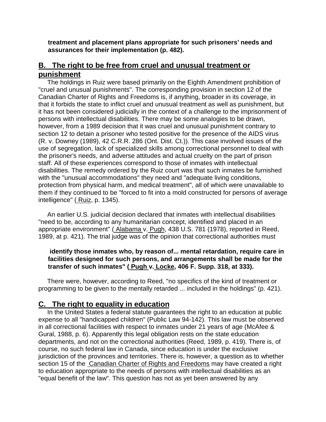**treatment and placement plans appropriate for such prisoners' needs and assurances for their implementation (p. 482).**

# **B. The right to be free from cruel and unusual treatment or punishment**

 The holdings in Ruiz were based primarily on the Eighth Amendment prohibition of "cruel and unusual punishments". The corresponding provision in section 12 of the Canadian Charter of Rights and Freedoms is, if anything, broader in its coverage, in that it forbids the state to inflict cruel and unusual treatment as well as punishment, but it has not been considered judicially in the context of a challenge to the imprisonment of persons with intellectual disabilities. There may be some analogies to be drawn, however, from a 1989 decision that it was cruel and unusual punishment contrary to section 12 to detain a prisoner who tested positive for the presence of the AIDS virus (R. v. Downey (1989), 42 C.R.R. 286 (Ont. Dist. Ct.)). This case involved issues of the use of segregation, lack of specialized skills among correctional personnel to deal with the prisoner's needs, and adverse attitudes and actual cruelty on the part of prison staff. All of these experiences correspond to those of inmates with intellectual disabilities. The remedy ordered by the Ruiz court was that such inmates be furnished with the "unusual accommodations" they need and "adequate living conditions, protection from physical harm, and medical treatment", all of which were unavailable to them if they continued to be "forced to fit into a mold constructed for persons of average intelligence" ( Ruiz, p. 1345).

 An earlier U.S. judicial decision declared that inmates with intellectual disabilities "need to be, according to any humanitarian concept, identified and placed in an appropriate environment" ( Alabama v. Pugh, 438 U.S. 781 (1978), reported in Reed, 1989, at p. 421). The trial judge was of the opinion that correctional authorities must

# **identify those inmates who, by reason of... mental retardation, require care in facilities designed for such persons, and arrangements shall be made for the transfer of such inmates" ( Pugh v. Locke, 406 F. Supp. 318, at 333).**

 There were, however, according to Reed, "no specifics of the kind of treatment or programming to be given to the mentally retarded ... included in the holdings" (p. 421).

# **C. The right to equality in education**

 In the United States a federal statute guarantees the right to an education at public expense to all "handicapped children" (Public Law 94-142). This law must be observed in all correctional facilities with respect to inmates under 21 years of age (McAfee & Gural, 1988, p. 6). Apparently this legal obligation rests on the state education departments, and not on the correctional authorities (Reed, 1989, p. 419). There is, of course, no such federal law in Canada, since education is under the exclusive jurisdiction of the provinces and territories. There is, however, a question as to whether section 15 of the Canadian Charter of Rights and Freedoms may have created a right to education appropriate to the needs of persons with intellectual disabilities as an "equal benefit of the law". This question has not as yet been answered by any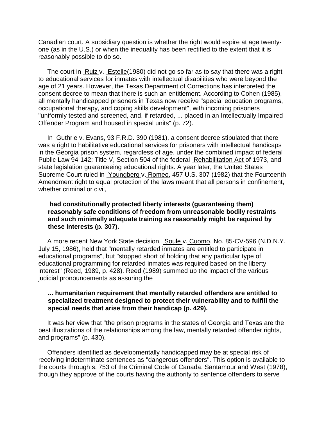Canadian court. A subsidiary question is whether the right would expire at age twentyone (as in the U.S.) or when the inequality has been rectified to the extent that it is reasonably possible to do so.

 The court in Ruiz v. Estelle(1980) did not go so far as to say that there was a right to educational services for inmates with intellectual disabilities who were beyond the age of 21 years. However, the Texas Department of Corrections has interpreted the consent decree to mean that there is such an entitlement. According to Cohen (1985), all mentally handicapped prisoners in Texas now receive "special education programs, occupational therapy, and coping skills development", with incoming prisoners "uniformly tested and screened, and, if retarded, ... placed in an Intellectually Impaired Offender Program and housed in special units" (p. 72).

 In Guthrie v. Evans, 93 F.R.D. 390 (1981), a consent decree stipulated that there was a right to habilitative educational services for prisoners with intellectual handicaps in the Georgia prison system, regardless of age, under the combined impact of federal Public Law 94-142; Title V, Section 504 of the federal Rehabilitation Act of 1973, and state legislation guaranteeing educational rights. A year later, the United States Supreme Court ruled in Youngberg v. Romeo, 457 U.S. 307 (1982) that the Fourteenth Amendment right to equal protection of the laws meant that all persons in confinement, whether criminal or civil,

### **had constitutionally protected liberty interests (guaranteeing them) reasonably safe conditions of freedom from unreasonable bodily restraints and such minimally adequate training as reasonably might be required by these interests (p. 307).**

 A more recent New York State decision, Soule v. Cuomo, No. 85-CV-596 (N.D.N.Y. July 15, 1986), held that "mentally retarded inmates are entitled to participate in educational programs", but "stopped short of holding that any particular type of educational programming for retarded inmates was required based on the liberty interest" (Reed, 1989, p. 428). Reed (1989) summed up the impact of the various judicial pronouncements as assuring the

#### **... humanitarian requirement that mentally retarded offenders are entitled to specialized treatment designed to protect their vulnerability and to fulfill the special needs that arise from their handicap (p. 429).**

 It was her view that "the prison programs in the states of Georgia and Texas are the best illustrations of the relationships among the law, mentally retarded offender rights, and programs" (p. 430).

 Offenders identified as developmentally handicapped may be at special risk of receiving indeterminate sentences as "dangerous offenders". This option is available to the courts through s. 753 of the Criminal Code of Canada. Santamour and West (1978), though they approve of the courts having the authority to sentence offenders to serve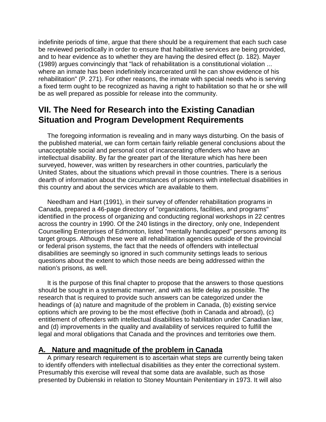indefinite periods of time, argue that there should be a requirement that each such case be reviewed periodically in order to ensure that habilitative services are being provided, and to hear evidence as to whether they are having the desired effect (p. 182). Mayer (1989) argues convincingly that "lack of rehabilitation is a constitutional violation ... where an inmate has been indefinitely incarcerated until he can show evidence of his rehabilitation" (P. 271). For other reasons, the inmate with special needs who is serving a fixed term ought to be recognized as having a right to habilitation so that he or she will be as well prepared as possible for release into the community.

# **VII. The Need for Research into the Existing Canadian Situation and Program Development Requirements**

 The foregoing information is revealing and in many ways disturbing. On the basis of the published material, we can form certain fairly reliable general conclusions about the unacceptable social and personal cost of incarcerating offenders who have an intellectual disability. By far the greater part of the literature which has here been surveyed, however, was written by researchers in other countries, particularly the United States, about the situations which prevail in those countries. There is a serious dearth of information about the circumstances of prisoners with intellectual disabilities in this country and about the services which are available to them.

 Needham and Hart (1991), in their survey of offender rehabilitation programs in Canada, prepared a 46-page directory of "organizations, facilities, and programs" identified in the process of organizing and conducting regional workshops in 22 centres across the country in 1990. Of the 240 listings in the directory, only one, Independent Counselling Enterprises of Edmonton, listed "mentally handicapped" persons among its target groups. Although these were all rehabilitation agencies outside of the provincial or federal prison systems, the fact that the needs of offenders with intellectual disabilities are seemingly so ignored in such community settings leads to serious questions about the extent to which those needs are being addressed within the nation's prisons, as well.

 It is the purpose of this final chapter to propose that the answers to those questions should be sought in a systematic manner, and with as little delay as possible. The research that is required to provide such answers can be categorized under the headings of (a) nature and magnitude of the problem in Canada, (b) existing service options which are proving to be the most effective (both in Canada and abroad), (c) entitlement of offenders with intellectual disabilities to habilitation under Canadian law, and (d) improvements in the quality and availability of services required to fulfill the legal and moral obligations that Canada and the provinces and territories owe them.

# **A. Nature and magnitude of the problem in Canada**

 A primary research requirement is to ascertain what steps are currently being taken to identify offenders with intellectual disabilities as they enter the correctional system. Presumably this exercise will reveal that some data are available, such as those presented by Dubienski in relation to Stoney Mountain Penitentiary in 1973. It will also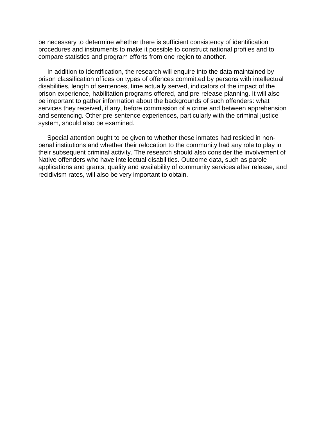be necessary to determine whether there is sufficient consistency of identification procedures and instruments to make it possible to construct national profiles and to compare statistics and program efforts from one region to another.

 In addition to identification, the research will enquire into the data maintained by prison classification offices on types of offences committed by persons with intellectual disabilities, length of sentences, time actually served, indicators of the impact of the prison experience, habilitation programs offered, and pre-release planning. It will also be important to gather information about the backgrounds of such offenders: what services they received, if any, before commission of a crime and between apprehension and sentencing. Other pre-sentence experiences, particularly with the criminal justice system, should also be examined.

 Special attention ought to be given to whether these inmates had resided in nonpenal institutions and whether their relocation to the community had any role to play in their subsequent criminal activity. The research should also consider the involvement of Native offenders who have intellectual disabilities. Outcome data, such as parole applications and grants, quality and availability of community services after release, and recidivism rates, will also be very important to obtain.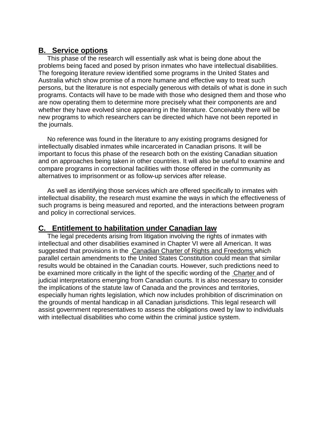# **B. Service options**

 This phase of the research will essentially ask what is being done about the problems being faced and posed by prison inmates who have intellectual disabilities. The foregoing literature review identified some programs in the United States and Australia which show promise of a more humane and effective way to treat such persons, but the literature is not especially generous with details of what is done in such programs. Contacts will have to be made with those who designed them and those who are now operating them to determine more precisely what their components are and whether they have evolved since appearing in the literature. Conceivably there will be new programs to which researchers can be directed which have not been reported in the journals.

 No reference was found in the literature to any existing programs designed for intellectually disabled inmates while incarcerated in Canadian prisons. It will be important to focus this phase of the research both on the existing Canadian situation and on approaches being taken in other countries. It will also be useful to examine and compare programs in correctional facilities with those offered in the community as alternatives to imprisonment or as follow-up services after release.

 As well as identifying those services which are offered specifically to inmates with intellectual disability, the research must examine the ways in which the effectiveness of such programs is being measured and reported, and the interactions between program and policy in correctional services.

# **C. Entitlement to habilitation under Canadian law**

 The legal precedents arising from litigation involving the rights of inmates with intellectual and other disabilities examined in Chapter VI were all American. It was suggested that provisions in the Canadian Charter of Rights and Freedoms which parallel certain amendments to the United States Constitution could mean that similar results would be obtained in the Canadian courts. However, such predictions need to be examined more critically in the light of the specific wording of the Charter and of judicial interpretations emerging from Canadian courts. It is also necessary to consider the implications of the statute law of Canada and the provinces and territories, especially human rights legislation, which now includes prohibition of discrimination on the grounds of mental handicap in all Canadian jurisdictions. This legal research will assist government representatives to assess the obligations owed by law to individuals with intellectual disabilities who come within the criminal justice system.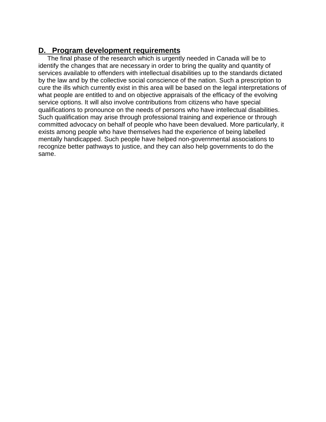# **D. Program development requirements**

 The final phase of the research which is urgently needed in Canada will be to identify the changes that are necessary in order to bring the quality and quantity of services available to offenders with intellectual disabilities up to the standards dictated by the law and by the collective social conscience of the nation. Such a prescription to cure the ills which currently exist in this area will be based on the legal interpretations of what people are entitled to and on objective appraisals of the efficacy of the evolving service options. It will also involve contributions from citizens who have special qualifications to pronounce on the needs of persons who have intellectual disabilities. Such qualification may arise through professional training and experience or through committed advocacy on behalf of people who have been devalued. More particularly, it exists among people who have themselves had the experience of being labelled mentally handicapped. Such people have helped non-governmental associations to recognize better pathways to justice, and they can also help governments to do the same.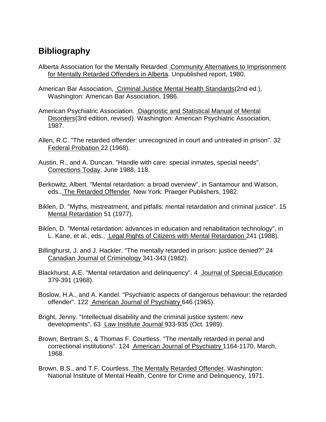# **Bibliography**

- Alberta Association for the Mentally Retarded. Community Alternatives to Imprisonment for Mentally Retarded Offenders in Alberta. Unpublished report, 1980.
- American Bar Association, Criminal Justice Mental Health Standards(2nd ed.), Washington: American Bar Association, 1986.
- American Psychiatric Association. Diagnostic and Statistical Manual of Mental Disorders(3rd edition, revised). Washington: American Psychiatric Association, 1987.
- Allen, R.C. "The retarded offender: unrecognized in court and untreated in prison". 32 Federal Probation 22 (1968).
- Austin, R., and A. Duncan. "Handle with care: special inmates, special needs". Corrections Today, June 1988, 118.
- Berkowitz, Albert. "Mental retardation: a broad overview", in Santamour and Watson, eds., The Retarded Offender. New York: Praeger Publishers, 1982.
- Biklen, D. "Myths, mistreatment, and pitfalls: mental retardation and criminal justice". 15 Mental Retardation 51 (1977).
- Biklen, D. "Mental retardation: advances in education and rehabilitation technology", in L. Kane, et al., eds., Legal Rights of Citizens with Mental Retardation 241 (1988).
- Billinghurst, J. and J. Hackler. "The mentally retarded in prison: justice denied?" 24 Canadian Journal of Criminology 341-343 (1982).
- Blackhurst, A.E. "Mental retardation and delinquency". 4 Journal of Special Education 379-391 (1968).
- Boslow, H.A., and A. Kandel. "Psychiatric aspects of dangerous behaviour: the retarded offender". 122 American Journal of Psychiatry 646 (1965).
- Bright, Jenny. "Intellectual disability and the criminal justice system: new developments". 63 Law Institute Journal 933-935 (Oct. 1989).
- Brown, Bertram S., & Thomas F. Courtless. "The mentally retarded in penal and correctional institutions". 124 American Journal of Psychiatry 1164-1170, March, 1968.
- Brown, B.S., and T.F. Courtless. The Mentally Retarded Offender. Washington: National Institute of Mental Health, Centre for Crime and Delinquency, 1971.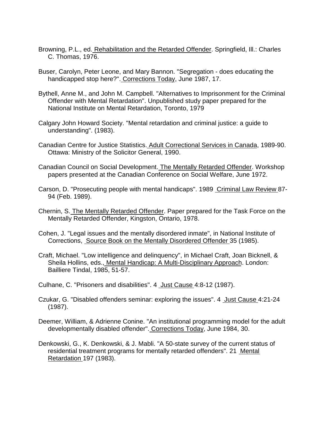- Browning, P.L., ed. Rehabilitation and the Retarded Offender. Springfield, Ill.: Charles C. Thomas, 1976.
- Buser, Carolyn, Peter Leone, and Mary Bannon. "Segregation does educating the handicapped stop here?". Corrections Today, June 1987, 17.
- Bythell, Anne M., and John M. Campbell. "Alternatives to Imprisonment for the Criminal Offender with Mental Retardation". Unpublished study paper prepared for the National Institute on Mental Retardation, Toronto, 1979
- Calgary John Howard Society. "Mental retardation and criminal justice: a guide to understanding". (1983).
- Canadian Centre for Justice Statistics. Adult Correctional Services in Canada, 1989-90. Ottawa: Ministry of the Solicitor General, 1990.
- Canadian Council on Social Development. The Mentally Retarded Offender. Workshop papers presented at the Canadian Conference on Social Welfare, June 1972.
- Carson, D. "Prosecuting people with mental handicaps". 1989 Criminal Law Review 87- 94 (Feb. 1989).
- Chernin, S. The Mentally Retarded Offender. Paper prepared for the Task Force on the Mentally Retarded Offender, Kingston, Ontario, 1978.
- Cohen, J. "Legal issues and the mentally disordered inmate", in National Institute of Corrections, Source Book on the Mentally Disordered Offender 35 (1985).
- Craft, Michael. "Low intelligence and delinquency", in Michael Craft, Joan Bicknell, & Sheila Hollins, eds., Mental Handicap: A Multi-Disciplinary Approach. London: Bailliere Tindal, 1985, 51-57.
- Culhane, C. "Prisoners and disabilities". 4 Just Cause 4:8-12 (1987).
- Czukar, G. "Disabled offenders seminar: exploring the issues". 4 Just Cause 4:21-24 (1987).
- Deemer, William, & Adrienne Conine. "An institutional programming model for the adult developmentally disabled offender". Corrections Today, June 1984, 30.
- Denkowski, G., K. Denkowski, & J. Mabli. "A 50-state survey of the current status of residential treatment programs for mentally retarded offenders". 21 Mental Retardation 197 (1983).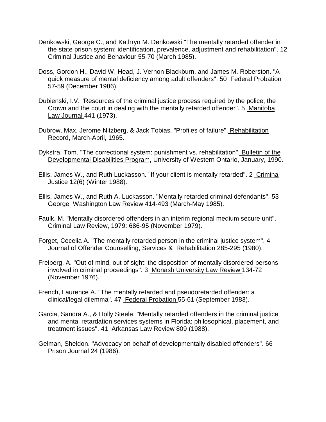- Denkowski, George C., and Kathryn M. Denkowski "The mentally retarded offender in the state prison system: identification, prevalence, adjustment and rehabilitation". 12 Criminal Justice and Behaviour 55-70 (March 1985).
- Doss, Gordon H., David W. Head, J. Vernon Blackburn, and James M. Roberston. "A quick measure of mental deficiency among adult offenders". 50 Federal Probation 57-59 (December 1986).
- Dubienski, I.V. "Resources of the criminal justice process required by the police, the Crown and the court in dealing with the mentally retarded offender". 5 Manitoba Law Journal 441 (1973).
- Dubrow, Max, Jerome Nitzberg, & Jack Tobias. "Profiles of failure". Rehabilitation Record, March-April, 1965.
- Dykstra, Tom. "The correctional system: punishment vs. rehabilitation". Bulletin of the Developmental Disabilities Program, University of Western Ontario, January, 1990.
- Ellis, James W., and Ruth Luckasson. "If your client is mentally retarded". 2 Criminal Justice 12(6) (Winter 1988).
- Ellis, James W., and Ruth A. Luckasson. "Mentally retarded criminal defendants". 53 George Washington Law Review 414-493 (March-May 1985).
- Faulk, M. "Mentally disordered offenders in an interim regional medium secure unit". Criminal Law Review, 1979: 686-95 (November 1979).
- Forget, Cecelia A. "The mentally retarded person in the criminal justice system". 4 Journal of Offender Counselling, Services & Rehabilitation 285-295 (1980).
- Freiberg, A. "Out of mind, out of sight: the disposition of mentally disordered persons involved in criminal proceedings". 3 Monash University Law Review 134-72 (November 1976).
- French, Laurence A. "The mentally retarded and pseudoretarded offender: a clinical/legal dilemma". 47 Federal Probation 55-61 (September 1983).
- Garcia, Sandra A., & Holly Steele. "Mentally retarded offenders in the criminal justice and mental retardation services systems in Florida: philosophical, placement, and treatment issues". 41 Arkansas Law Review 809 (1988).
- Gelman, Sheldon. "Advocacy on behalf of developmentally disabled offenders". 66 Prison Journal 24 (1986).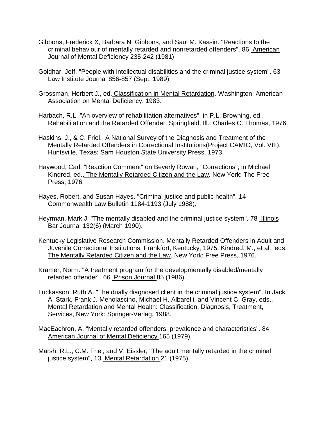- Gibbons, Frederick X, Barbara N. Gibbons, and Saul M. Kassin. "Reactions to the criminal behaviour of mentally retarded and nonretarded offenders". 86 American Journal of Mental Deficiency 235-242 (1981)
- Goldhar, Jeff. "People with intellectual disabilities and the criminal justice system". 63 Law Institute Journal 856-857 (Sept. 1989).
- Grossman, Herbert J., ed. Classification in Mental Retardation. Washington: American Association on Mental Deficiency, 1983.
- Harbach, R.L. "An overview of rehabilitation alternatives", in P.L. Browning, ed., Rehabilitation and the Retarded Offender. Springfield, Ill.: Charles C. Thomas, 1976.
- Haskins, J., & C. Friel. A National Survey of the Diagnosis and Treatment of the Mentally Retarded Offenders in Correctional Institutions(Project CAMIO, Vol. VIII). Huntsville, Texas: Sam Houston State University Press, 1973.
- Haywood, Carl. "Reaction Comment" on Beverly Rowan, "Corrections", in Michael Kindred, ed., The Mentally Retarded Citizen and the Law. New York: The Free Press, 1976.
- Hayes, Robert, and Susan Hayes. "Criminal justice and public health". 14 Commonwealth Law Bulletin 1184-1193 (July 1988).
- Heyrman, Mark J. "The mentally disabled and the criminal justice system". 78 Illinois Bar Journal 132(6) (March 1990).
- Kentucky Legislative Research Commission. Mentally Retarded Offenders in Adult and Juvenile Correctional Institutions. Frankfort, Kentucky, 1975. Kindred, M., et al., eds. The Mentally Retarded Citizen and the Law. New York: Free Press, 1976.
- Kramer, Norm. "A treatment program for the developmentally disabled/mentally retarded offender". 66 Prison Journal 85 (1986).
- Luckasson, Ruth A. "The dually diagnosed client in the criminal justice system". In Jack A. Stark, Frank J. Menolascino, Michael H. Albarelli, and Vincent C. Gray, eds., Mental Retardation and Mental Health: Classification, Diagnosis, Treatment, Services, New York: Springer-Verlag, 1988.
- MacEachron, A. "Mentally retarded offenders: prevalence and characteristics". 84 American Journal of Mental Deficiency 165 (1979).
- Marsh, R.L., C.M. Friel, and V. Eissler, "The adult mentally retarded in the criminal justice system", 13 Mental Retardation 21 (1975).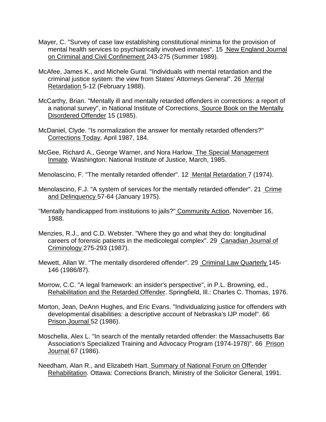- Mayer, C. "Survey of case law establishing constitutional minima for the provision of mental health services to psychiatrically involved inmates". 15 New England Journal on Criminal and Civil Confinement 243-275 (Summer 1989).
- McAfee, James K., and Michele Gural. "Individuals with mental retardation and the criminal justice system: the view from States' Attorneys General". 26 Mental Retardation 5-12 (February 1988).
- McCarthy, Brian. "Mentally ill and mentally retarded offenders in corrections: a report of a national survey", in National Institute of Corrections, Source Book on the Mentally Disordered Offender 15 (1985).
- McDaniel, Clyde. "Is normalization the answer for mentally retarded offenders?" Corrections Today, April 1987, 184.
- McGee, Richard A., George Warner, and Nora Harlow. The Special Management Inmate. Washington: National Institute of Justice, March, 1985.

Menolascino, F. "The mentally retarded offender". 12 Mental Retardation 7 (1974).

- Menolascino, F.J. "A system of services for the mentally retarded offender". 21 Crime and Delinquency 57-64 (January 1975).
- "Mentally handicapped from institutions to jails?" Community Action, November 16, 1988.
- Menzies, R.J., and C.D. Webster. "Where they go and what they do: longitudinal careers of forensic patients in the medicolegal complex". 29 Canadian Journal of Criminology 275-293 (1987).
- Mewett, Allan W. "The mentally disordered offender". 29 Criminal Law Quarterly 145- 146 (1986/87).
- Morrow, C.C. "A legal framework: an insider's perspective", in P.L. Browning, ed., Rehabilitation and the Retarded Offender. Springfield, Ill.: Charles C. Thomas, 1976.
- Morton, Jean, DeAnn Hughes, and Eric Evans. "Individualizing justice for offenders with developmental disabilities: a descriptive account of Nebraska's IJP model". 66 Prison Journal 52 (1986).
- Moschella, Alex L. "In search of the mentally retarded offender: the Massachusetts Bar Association's Specialized Training and Advocacy Program (1974-1978)". 66 Prison Journal 67 (1986).
- Needham, Alan R., and Elizabeth Hart. Summary of National Forum on Offender Rehabilitation. Ottawa: Corrections Branch, Ministry of the Solicitor General, 1991.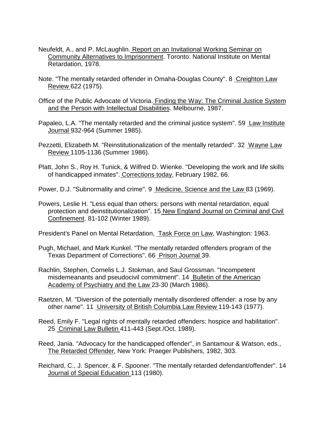- Neufeldt, A., and P. McLaughlin. Report on an Invitational Working Seminar on Community Alternatives to Imprisonment. Toronto: National Institute on Mental Retardation, 1978.
- Note. "The mentally retarded offender in Omaha-Douglas County". 8 Creighton Law Review 622 (1975).
- Office of the Public Advocate of Victoria. Finding the Way: The Criminal Justice System and the Person with Intellectual Disabilities. Melbourne, 1987.
- Papaleo, L.A. "The mentally retarded and the criminal justice system". 59 Law Institute Journal 932-964 (Summer 1985).
- Pezzetti, Elizabeth M. "Reinstitutionalization of the mentally retarded". 32 Wayne Law Review 1105-1136 (Summer 1986).
- Platt, John S., Roy H. Tunick, & Wilfred D. Wienke. "Developing the work and life skills of handicapped inmates". Corrections today, February 1982, 66.
- Power, D.J. "Subnormality and crime". 9 Medicine, Science and the Law 83 (1969).
- Powers, Leslie H. "Less equal than others: persons with mental retardation, equal protection and deinstitutionalization". 15 New England Journal on Criminal and Civil Confinement. 81-102 (Winter 1989).
- President's Panel on Mental Retardation, Task Force on Law, Washington: 1963.
- Pugh, Michael, and Mark Kunkel. "The mentally retarded offenders program of the Texas Department of Corrections". 66 Prison Journal 39.
- Rachlin, Stephen, Cornelis L.J. Stokman, and Saul Grossman. "Incompetent misdemeanants and pseudocivil commitment". 14 Bulletin of the American Academy of Psychiatry and the Law 23-30 (March 1986).
- Raetzen, M. "Diversion of the potentially mentally disordered offender: a rose by any other name". 11 University of British Columbia Law Review 119-143 (1977).
- Reed, Emily F. "Legal rights of mentally retarded offenders: hospice and habilitation". 25 Criminal Law Bulletin 411-443 (Sept./Oct. 1989).
- Reed, Jania. "Advocacy for the handicapped offender", in Santamour & Watson, eds., The Retarded Offender, New York: Praeger Publishers, 1982, 303.
- Reichard, C., J. Spencer, & F. Spooner. "The mentally retarded defendant/offender". 14 Journal of Special Education 113 (1980).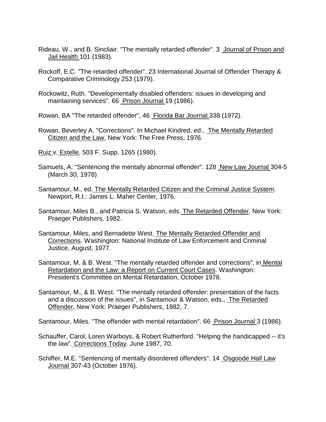- Rideau, W., and B. Sincliair. "The mentally retarded offender". 3 Journal of Prison and Jail Health 101 (1983).
- Rockoff, E.C. "The retarded offender". 23 International Journal of Offender Therapy & Comparative Criminology 253 (1979).
- Rockowitz, Ruth. "Developmentally disabled offenders: issues in developing and maintaining services". 66 Prison Journal 19 (1986).
- Rowan, BA "The retarded offender", 46 Florida Bar Journal 338 (1972).
- Rowan, Beverley A. "Corrections". In Michael Kindred, ed., The Mentally Retarded Citizen and the Law, New York: The Free Press, 1976.
- Ruiz v. Estelle, 503 F. Supp. 1265 (1980).
- Samuels, A. "Sentencing the mentally abnormal offender". 128 New Law Journal 304-5 (March 30, 1978)
- Santamour, M., ed. The Mentally Retarded Citizen and the Criminal Justice System. Newport, R.I.: James L. Maher Center, 1976.
- Santamour, Miles B., and Patricia S. Watson, eds. The Retarded Offender. New York: Praeger Publishers, 1982.
- Santamour, Miles, and Bernadette West. The Mentally Retarded Offender and Corrections. Washington: National Institute of Law Enforcement and Criminal Justice, August, 1977.
- Santamour, M. & B. West. "The mentally retarded offender and corrections", in Mental Retardation and the Law: a Report on Current Court Cases. Washington: President's Committee on Mental Retardation, October 1978.
- Santamour, M., & B. West. "The mentally retarded offender: presentation of the facts and a discussion of the issues", in Santamour & Watson, eds., The Retarded Offender, New York: Praeger Publishers, 1982, 7.

Santamour, Miles. "The offender with mental retardation". 66 Prison Journal 3 (1986).

- Schauffer, Carol, Loren Warboys, & Robert Rutherford. "Helping the handicapped -- it's the law". Corrections Today. June 1987, 70.
- Schiffer, M.E. "Sentencing of mentally disordered offenders". 14 Osgoode Hall Law Journal 307-43 (October 1976).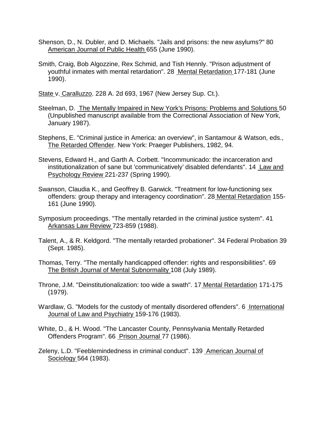- Shenson, D., N. Dubler, and D. Michaels. "Jails and prisons: the new asylums?" 80 American Journal of Public Health 655 (June 1990).
- Smith, Craig, Bob Algozzine, Rex Schmid, and Tish Hennly. "Prison adjustment of youthful inmates with mental retardation". 28 Mental Retardation 177-181 (June 1990).

State v. Caralluzzo. 228 A. 2d 693, 1967 (New Jersey Sup. Ct.).

- Steelman, D. The Mentally Impaired in New York's Prisons: Problems and Solutions 50 (Unpublished manuscript available from the Correctional Association of New York, January 1987).
- Stephens, E. "Criminal justice in America: an overview", in Santamour & Watson, eds., The Retarded Offender. New York: Praeger Publishers, 1982, 94.
- Stevens, Edward H., and Garth A. Corbett. "Incommunicado: the incarceration and institutionalization of sane but 'communicatively' disabled defendants". 14 Law and Psychology Review 221-237 (Spring 1990).
- Swanson, Claudia K., and Geoffrey B. Garwick. "Treatment for low-functioning sex offenders: group therapy and interagency coordination". 28 Mental Retardation 155- 161 (June 1990).
- Symposium proceedings. "The mentally retarded in the criminal justice system". 41 Arkansas Law Review 723-859 (1988).
- Talent, A., & R. Keldgord. "The mentally retarded probationer". 34 Federal Probation 39 (Sept. 1985).
- Thomas, Terry. "The mentally handicapped offender: rights and responsibilities". 69 The British Journal of Mental Subnormality 108 (July 1989).
- Throne, J.M. "Deinstitutionalization: too wide a swath". 17 Mental Retardation 171-175 (1979).
- Wardlaw, G. "Models for the custody of mentally disordered offenders". 6 International Journal of Law and Psychiatry 159-176 (1983).
- White, D., & H. Wood. "The Lancaster County, Pennsylvania Mentally Retarded Offenders Program". 66 Prison Journal 77 (1986).
- Zeleny, L.D. "Feeblemindedness in criminal conduct". 139 American Journal of Sociology 564 (1983).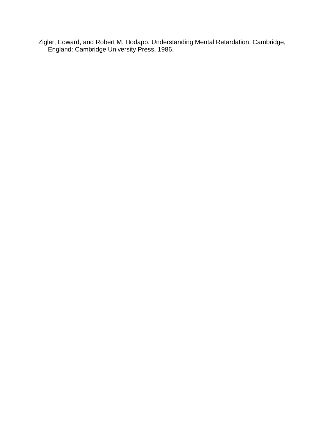Zigler, Edward, and Robert M. Hodapp. Understanding Mental Retardation. Cambridge, England: Cambridge University Press, 1986.